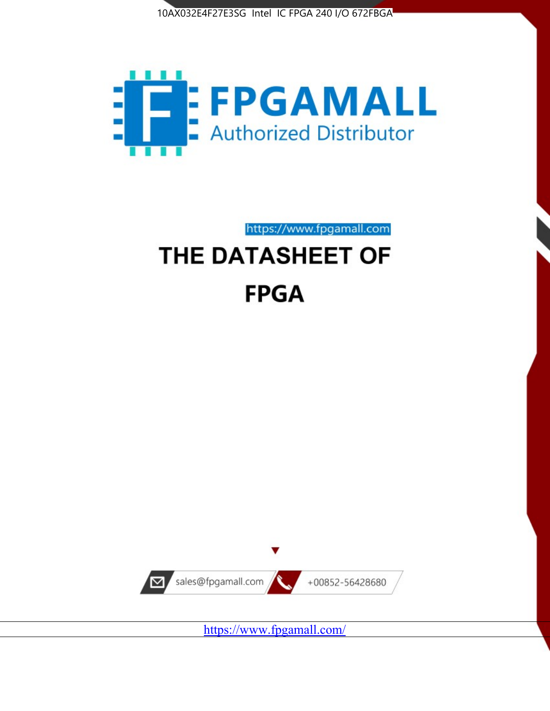



https://www.fpgamall.com THE DATASHEET OF

# **FPGA**



<https://www.fpgamall.com/>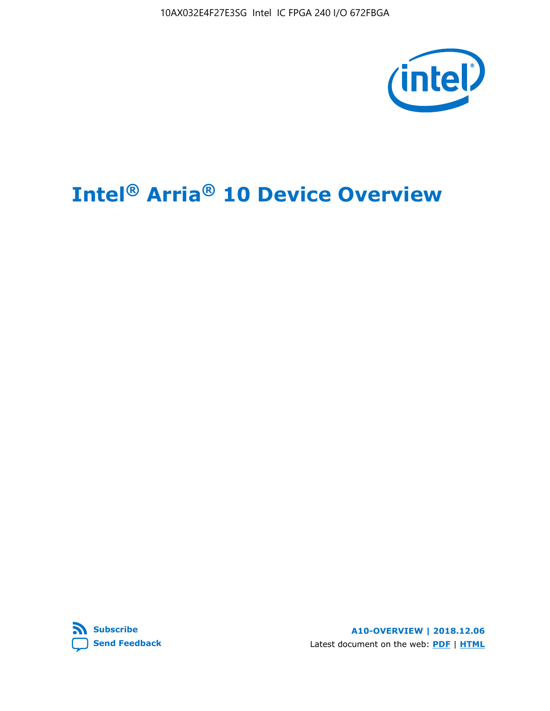10AX032E4F27E3SG Intel IC FPGA 240 I/O 672FBGA



# **Intel® Arria® 10 Device Overview**



**A10-OVERVIEW | 2018.12.06** Latest document on the web: **[PDF](https://www.intel.com/content/dam/www/programmable/us/en/pdfs/literature/hb/arria-10/a10_overview.pdf)** | **[HTML](https://www.intel.com/content/www/us/en/programmable/documentation/sam1403480274650.html)**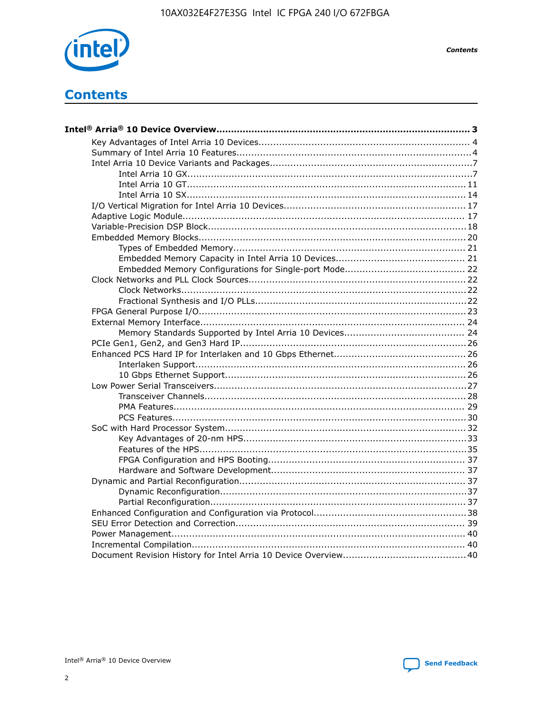

**Contents** 

## **Contents**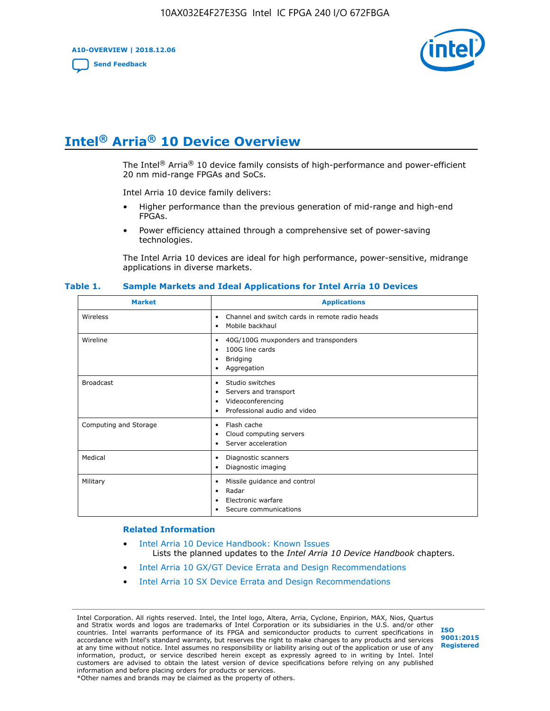**A10-OVERVIEW | 2018.12.06**

**[Send Feedback](mailto:FPGAtechdocfeedback@intel.com?subject=Feedback%20on%20Intel%20Arria%2010%20Device%20Overview%20(A10-OVERVIEW%202018.12.06)&body=We%20appreciate%20your%20feedback.%20In%20your%20comments,%20also%20specify%20the%20page%20number%20or%20paragraph.%20Thank%20you.)**



## **Intel® Arria® 10 Device Overview**

The Intel<sup>®</sup> Arria<sup>®</sup> 10 device family consists of high-performance and power-efficient 20 nm mid-range FPGAs and SoCs.

Intel Arria 10 device family delivers:

- Higher performance than the previous generation of mid-range and high-end FPGAs.
- Power efficiency attained through a comprehensive set of power-saving technologies.

The Intel Arria 10 devices are ideal for high performance, power-sensitive, midrange applications in diverse markets.

| <b>Market</b>         | <b>Applications</b>                                                                                                                       |
|-----------------------|-------------------------------------------------------------------------------------------------------------------------------------------|
| Wireless              | Channel and switch cards in remote radio heads<br>$\bullet$<br>Mobile backhaul<br>$\bullet$                                               |
| Wireline              | 40G/100G muxponders and transponders<br>٠<br>100G line cards<br>$\bullet$<br><b>Bridging</b><br>٠<br>Aggregation<br>$\bullet$             |
| <b>Broadcast</b>      | Studio switches<br>$\bullet$<br>Servers and transport<br>$\bullet$<br>Videoconferencing<br>٠<br>Professional audio and video<br>$\bullet$ |
| Computing and Storage | Flash cache<br>$\bullet$<br>Cloud computing servers<br>$\bullet$<br>Server acceleration<br>$\bullet$                                      |
| Medical               | Diagnostic scanners<br>$\bullet$<br>Diagnostic imaging<br>$\bullet$                                                                       |
| Military              | Missile guidance and control<br>$\bullet$<br>Radar<br>$\bullet$<br>Electronic warfare<br>$\bullet$<br>Secure communications<br>٠          |

#### **Table 1. Sample Markets and Ideal Applications for Intel Arria 10 Devices**

#### **Related Information**

- [Intel Arria 10 Device Handbook: Known Issues](http://www.altera.com/support/kdb/solutions/rd07302013_646.html) Lists the planned updates to the *Intel Arria 10 Device Handbook* chapters.
- [Intel Arria 10 GX/GT Device Errata and Design Recommendations](https://www.intel.com/content/www/us/en/programmable/documentation/agz1493851706374.html#yqz1494433888646)
- [Intel Arria 10 SX Device Errata and Design Recommendations](https://www.intel.com/content/www/us/en/programmable/documentation/cru1462832385668.html#cru1462832558642)

Intel Corporation. All rights reserved. Intel, the Intel logo, Altera, Arria, Cyclone, Enpirion, MAX, Nios, Quartus and Stratix words and logos are trademarks of Intel Corporation or its subsidiaries in the U.S. and/or other countries. Intel warrants performance of its FPGA and semiconductor products to current specifications in accordance with Intel's standard warranty, but reserves the right to make changes to any products and services at any time without notice. Intel assumes no responsibility or liability arising out of the application or use of any information, product, or service described herein except as expressly agreed to in writing by Intel. Intel customers are advised to obtain the latest version of device specifications before relying on any published information and before placing orders for products or services. \*Other names and brands may be claimed as the property of others.

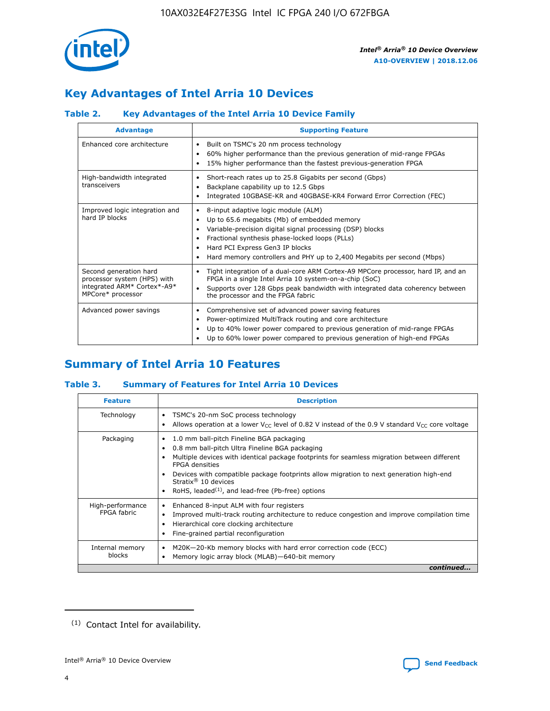

## **Key Advantages of Intel Arria 10 Devices**

#### **Table 2. Key Advantages of the Intel Arria 10 Device Family**

| <b>Advantage</b>                                                                                          | <b>Supporting Feature</b>                                                                                                                                                                                                                                                                                                |
|-----------------------------------------------------------------------------------------------------------|--------------------------------------------------------------------------------------------------------------------------------------------------------------------------------------------------------------------------------------------------------------------------------------------------------------------------|
| Enhanced core architecture                                                                                | Built on TSMC's 20 nm process technology<br>٠<br>60% higher performance than the previous generation of mid-range FPGAs<br>٠<br>15% higher performance than the fastest previous-generation FPGA                                                                                                                         |
| High-bandwidth integrated<br>transceivers                                                                 | Short-reach rates up to 25.8 Gigabits per second (Gbps)<br>٠<br>Backplane capability up to 12.5 Gbps<br>٠<br>Integrated 10GBASE-KR and 40GBASE-KR4 Forward Error Correction (FEC)                                                                                                                                        |
| Improved logic integration and<br>hard IP blocks                                                          | 8-input adaptive logic module (ALM)<br>٠<br>Up to 65.6 megabits (Mb) of embedded memory<br>٠<br>Variable-precision digital signal processing (DSP) blocks<br>Fractional synthesis phase-locked loops (PLLs)<br>Hard PCI Express Gen3 IP blocks<br>Hard memory controllers and PHY up to 2,400 Megabits per second (Mbps) |
| Second generation hard<br>processor system (HPS) with<br>integrated ARM* Cortex*-A9*<br>MPCore* processor | Tight integration of a dual-core ARM Cortex-A9 MPCore processor, hard IP, and an<br>٠<br>FPGA in a single Intel Arria 10 system-on-a-chip (SoC)<br>Supports over 128 Gbps peak bandwidth with integrated data coherency between<br>the processor and the FPGA fabric                                                     |
| Advanced power savings                                                                                    | Comprehensive set of advanced power saving features<br>٠<br>Power-optimized MultiTrack routing and core architecture<br>٠<br>Up to 40% lower power compared to previous generation of mid-range FPGAs<br>Up to 60% lower power compared to previous generation of high-end FPGAs                                         |

## **Summary of Intel Arria 10 Features**

#### **Table 3. Summary of Features for Intel Arria 10 Devices**

| <b>Feature</b>                  | <b>Description</b>                                                                                                                                                                                                                                                                                                                                                                                           |
|---------------------------------|--------------------------------------------------------------------------------------------------------------------------------------------------------------------------------------------------------------------------------------------------------------------------------------------------------------------------------------------------------------------------------------------------------------|
| Technology                      | TSMC's 20-nm SoC process technology<br>Allows operation at a lower $V_{\text{CC}}$ level of 0.82 V instead of the 0.9 V standard $V_{\text{CC}}$ core voltage                                                                                                                                                                                                                                                |
| Packaging                       | 1.0 mm ball-pitch Fineline BGA packaging<br>٠<br>0.8 mm ball-pitch Ultra Fineline BGA packaging<br>Multiple devices with identical package footprints for seamless migration between different<br><b>FPGA</b> densities<br>Devices with compatible package footprints allow migration to next generation high-end<br>Stratix <sup>®</sup> 10 devices<br>RoHS, leaded $(1)$ , and lead-free (Pb-free) options |
| High-performance<br>FPGA fabric | Enhanced 8-input ALM with four registers<br>Improved multi-track routing architecture to reduce congestion and improve compilation time<br>Hierarchical core clocking architecture<br>Fine-grained partial reconfiguration                                                                                                                                                                                   |
| Internal memory<br>blocks       | M20K-20-Kb memory blocks with hard error correction code (ECC)<br>Memory logic array block (MLAB)-640-bit memory                                                                                                                                                                                                                                                                                             |
|                                 | continued                                                                                                                                                                                                                                                                                                                                                                                                    |



<sup>(1)</sup> Contact Intel for availability.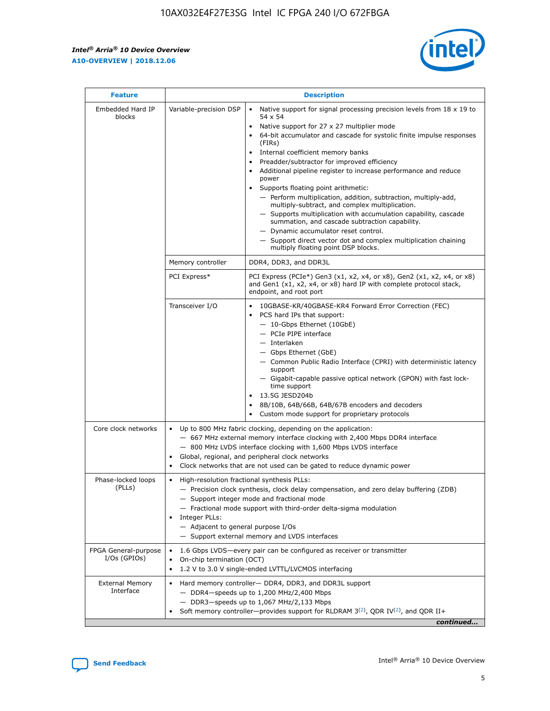$\mathsf{r}$ 



| <b>Feature</b>                         | <b>Description</b>                                                                                             |                                                                                                                                                                                                                                                                                                                                                                                                                                                                                                                                                                                                                                                                                                                                                                                                                                        |  |  |  |  |  |
|----------------------------------------|----------------------------------------------------------------------------------------------------------------|----------------------------------------------------------------------------------------------------------------------------------------------------------------------------------------------------------------------------------------------------------------------------------------------------------------------------------------------------------------------------------------------------------------------------------------------------------------------------------------------------------------------------------------------------------------------------------------------------------------------------------------------------------------------------------------------------------------------------------------------------------------------------------------------------------------------------------------|--|--|--|--|--|
| Embedded Hard IP<br>blocks             | Variable-precision DSP                                                                                         | Native support for signal processing precision levels from $18 \times 19$ to<br>54 x 54<br>Native support for 27 x 27 multiplier mode<br>64-bit accumulator and cascade for systolic finite impulse responses<br>(FIRs)<br>Internal coefficient memory banks<br>$\bullet$<br>Preadder/subtractor for improved efficiency<br>Additional pipeline register to increase performance and reduce<br>power<br>Supports floating point arithmetic:<br>- Perform multiplication, addition, subtraction, multiply-add,<br>multiply-subtract, and complex multiplication.<br>- Supports multiplication with accumulation capability, cascade<br>summation, and cascade subtraction capability.<br>- Dynamic accumulator reset control.<br>- Support direct vector dot and complex multiplication chaining<br>multiply floating point DSP blocks. |  |  |  |  |  |
|                                        | Memory controller                                                                                              | DDR4, DDR3, and DDR3L                                                                                                                                                                                                                                                                                                                                                                                                                                                                                                                                                                                                                                                                                                                                                                                                                  |  |  |  |  |  |
|                                        | PCI Express*                                                                                                   | PCI Express (PCIe*) Gen3 (x1, x2, x4, or x8), Gen2 (x1, x2, x4, or x8)<br>and Gen1 (x1, x2, x4, or x8) hard IP with complete protocol stack,<br>endpoint, and root port                                                                                                                                                                                                                                                                                                                                                                                                                                                                                                                                                                                                                                                                |  |  |  |  |  |
|                                        | Transceiver I/O                                                                                                | 10GBASE-KR/40GBASE-KR4 Forward Error Correction (FEC)<br>PCS hard IPs that support:<br>- 10-Gbps Ethernet (10GbE)<br>- PCIe PIPE interface<br>- Interlaken<br>- Gbps Ethernet (GbE)<br>- Common Public Radio Interface (CPRI) with deterministic latency<br>support<br>- Gigabit-capable passive optical network (GPON) with fast lock-<br>time support<br>13.5G JESD204b<br>8B/10B, 64B/66B, 64B/67B encoders and decoders<br>Custom mode support for proprietary protocols                                                                                                                                                                                                                                                                                                                                                           |  |  |  |  |  |
| Core clock networks                    | $\bullet$<br>$\bullet$                                                                                         | Up to 800 MHz fabric clocking, depending on the application:<br>- 667 MHz external memory interface clocking with 2,400 Mbps DDR4 interface<br>- 800 MHz LVDS interface clocking with 1,600 Mbps LVDS interface<br>Global, regional, and peripheral clock networks<br>Clock networks that are not used can be gated to reduce dynamic power                                                                                                                                                                                                                                                                                                                                                                                                                                                                                            |  |  |  |  |  |
| Phase-locked loops<br>(PLLs)           | High-resolution fractional synthesis PLLs:<br>$\bullet$<br>Integer PLLs:<br>- Adjacent to general purpose I/Os | - Precision clock synthesis, clock delay compensation, and zero delay buffering (ZDB)<br>- Support integer mode and fractional mode<br>- Fractional mode support with third-order delta-sigma modulation<br>- Support external memory and LVDS interfaces                                                                                                                                                                                                                                                                                                                                                                                                                                                                                                                                                                              |  |  |  |  |  |
| FPGA General-purpose<br>$I/Os$ (GPIOs) | $\bullet$<br>On-chip termination (OCT)                                                                         | 1.6 Gbps LVDS—every pair can be configured as receiver or transmitter<br>1.2 V to 3.0 V single-ended LVTTL/LVCMOS interfacing                                                                                                                                                                                                                                                                                                                                                                                                                                                                                                                                                                                                                                                                                                          |  |  |  |  |  |
| <b>External Memory</b><br>Interface    |                                                                                                                | Hard memory controller- DDR4, DDR3, and DDR3L support<br>- DDR4-speeds up to 1,200 MHz/2,400 Mbps<br>$-$ DDR3-speeds up to 1,067 MHz/2,133 Mbps<br>Soft memory controller—provides support for RLDRAM $3^{(2)}$ , QDR IV $(2^2)$ , and QDR II+<br>continued                                                                                                                                                                                                                                                                                                                                                                                                                                                                                                                                                                            |  |  |  |  |  |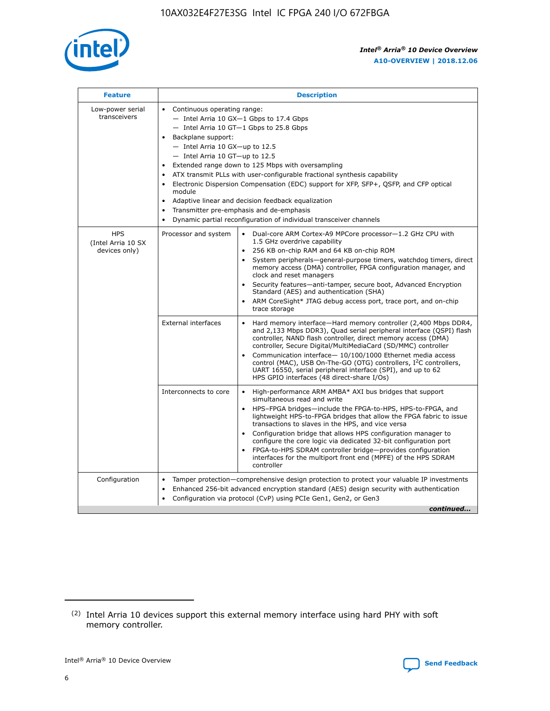

| <b>Feature</b>                                    | <b>Description</b>                                                                                                                                                                                                                                                                                                                                                                                                                                                                                                                                                                                                                                                 |  |  |  |  |  |  |
|---------------------------------------------------|--------------------------------------------------------------------------------------------------------------------------------------------------------------------------------------------------------------------------------------------------------------------------------------------------------------------------------------------------------------------------------------------------------------------------------------------------------------------------------------------------------------------------------------------------------------------------------------------------------------------------------------------------------------------|--|--|--|--|--|--|
| Low-power serial<br>transceivers                  | • Continuous operating range:<br>- Intel Arria 10 GX-1 Gbps to 17.4 Gbps<br>- Intel Arria 10 GT-1 Gbps to 25.8 Gbps<br>Backplane support:<br>$-$ Intel Arria 10 GX-up to 12.5<br>- Intel Arria 10 GT-up to 12.5<br>Extended range down to 125 Mbps with oversampling<br>ATX transmit PLLs with user-configurable fractional synthesis capability<br>$\bullet$<br>Electronic Dispersion Compensation (EDC) support for XFP, SFP+, OSFP, and CFP optical<br>module<br>Adaptive linear and decision feedback equalization<br>$\bullet$<br>Transmitter pre-emphasis and de-emphasis<br>$\bullet$<br>Dynamic partial reconfiguration of individual transceiver channels |  |  |  |  |  |  |
| <b>HPS</b><br>(Intel Arria 10 SX<br>devices only) | • Dual-core ARM Cortex-A9 MPCore processor-1.2 GHz CPU with<br>Processor and system<br>1.5 GHz overdrive capability<br>256 KB on-chip RAM and 64 KB on-chip ROM<br>$\bullet$<br>System peripherals—general-purpose timers, watchdog timers, direct<br>memory access (DMA) controller, FPGA configuration manager, and<br>clock and reset managers<br>Security features—anti-tamper, secure boot, Advanced Encryption<br>$\bullet$<br>Standard (AES) and authentication (SHA)<br>ARM CoreSight* JTAG debug access port, trace port, and on-chip<br>$\bullet$<br>trace storage                                                                                       |  |  |  |  |  |  |
|                                                   | <b>External interfaces</b><br>Hard memory interface-Hard memory controller (2,400 Mbps DDR4,<br>$\bullet$<br>and 2,133 Mbps DDR3), Quad serial peripheral interface (OSPI) flash<br>controller, NAND flash controller, direct memory access (DMA)<br>controller, Secure Digital/MultiMediaCard (SD/MMC) controller<br>Communication interface-10/100/1000 Ethernet media access<br>$\bullet$<br>control (MAC), USB On-The-GO (OTG) controllers, I <sup>2</sup> C controllers,<br>UART 16550, serial peripheral interface (SPI), and up to 62<br>HPS GPIO interfaces (48 direct-share I/Os)                                                                         |  |  |  |  |  |  |
|                                                   | Interconnects to core<br>High-performance ARM AMBA* AXI bus bridges that support<br>$\bullet$<br>simultaneous read and write<br>HPS-FPGA bridges-include the FPGA-to-HPS, HPS-to-FPGA, and<br>$\bullet$<br>lightweight HPS-to-FPGA bridges that allow the FPGA fabric to issue<br>transactions to slaves in the HPS, and vice versa<br>Configuration bridge that allows HPS configuration manager to<br>configure the core logic via dedicated 32-bit configuration port<br>FPGA-to-HPS SDRAM controller bridge-provides configuration<br>interfaces for the multiport front end (MPFE) of the HPS SDRAM<br>controller                                             |  |  |  |  |  |  |
| Configuration                                     | Tamper protection—comprehensive design protection to protect your valuable IP investments<br>Enhanced 256-bit advanced encryption standard (AES) design security with authentication<br>٠<br>Configuration via protocol (CvP) using PCIe Gen1, Gen2, or Gen3<br>continued                                                                                                                                                                                                                                                                                                                                                                                          |  |  |  |  |  |  |

<sup>(2)</sup> Intel Arria 10 devices support this external memory interface using hard PHY with soft memory controller.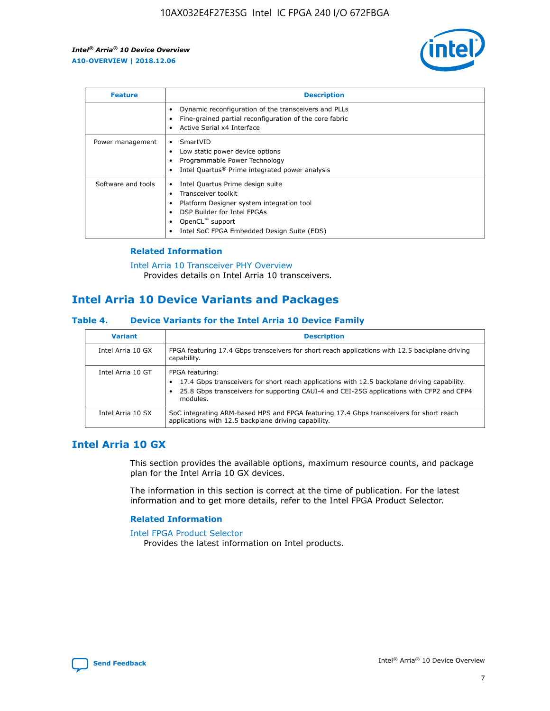

| <b>Feature</b>     | <b>Description</b>                                                                                                                                                                                               |
|--------------------|------------------------------------------------------------------------------------------------------------------------------------------------------------------------------------------------------------------|
|                    | Dynamic reconfiguration of the transceivers and PLLs<br>Fine-grained partial reconfiguration of the core fabric<br>Active Serial x4 Interface<br>$\bullet$                                                       |
| Power management   | SmartVID<br>Low static power device options<br>Programmable Power Technology<br>Intel Quartus <sup>®</sup> Prime integrated power analysis                                                                       |
| Software and tools | Intel Quartus Prime design suite<br>Transceiver toolkit<br>Platform Designer system integration tool<br>DSP Builder for Intel FPGAs<br>OpenCL <sup>™</sup> support<br>Intel SoC FPGA Embedded Design Suite (EDS) |

#### **Related Information**

[Intel Arria 10 Transceiver PHY Overview](https://www.intel.com/content/www/us/en/programmable/documentation/nik1398707230472.html#nik1398706768037) Provides details on Intel Arria 10 transceivers.

## **Intel Arria 10 Device Variants and Packages**

#### **Table 4. Device Variants for the Intel Arria 10 Device Family**

| <b>Variant</b>    | <b>Description</b>                                                                                                                                                                                                     |
|-------------------|------------------------------------------------------------------------------------------------------------------------------------------------------------------------------------------------------------------------|
| Intel Arria 10 GX | FPGA featuring 17.4 Gbps transceivers for short reach applications with 12.5 backplane driving<br>capability.                                                                                                          |
| Intel Arria 10 GT | FPGA featuring:<br>17.4 Gbps transceivers for short reach applications with 12.5 backplane driving capability.<br>25.8 Gbps transceivers for supporting CAUI-4 and CEI-25G applications with CFP2 and CFP4<br>modules. |
| Intel Arria 10 SX | SoC integrating ARM-based HPS and FPGA featuring 17.4 Gbps transceivers for short reach<br>applications with 12.5 backplane driving capability.                                                                        |

## **Intel Arria 10 GX**

This section provides the available options, maximum resource counts, and package plan for the Intel Arria 10 GX devices.

The information in this section is correct at the time of publication. For the latest information and to get more details, refer to the Intel FPGA Product Selector.

#### **Related Information**

#### [Intel FPGA Product Selector](http://www.altera.com/products/selector/psg-selector.html) Provides the latest information on Intel products.

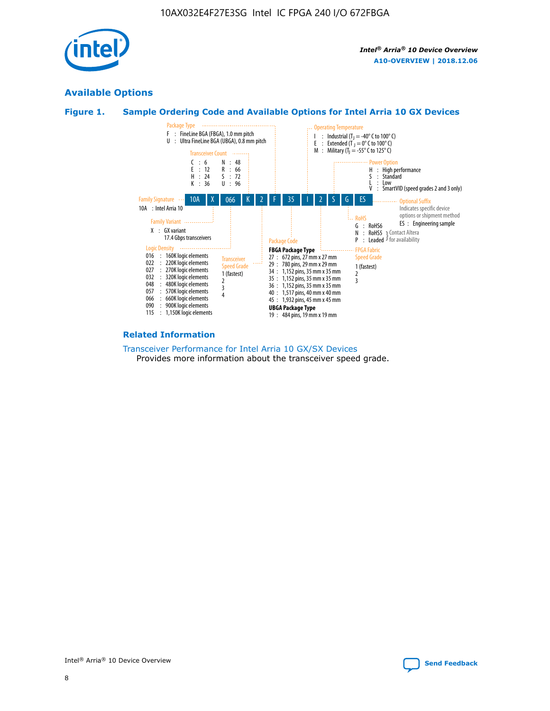

## **Available Options**





#### **Related Information**

[Transceiver Performance for Intel Arria 10 GX/SX Devices](https://www.intel.com/content/www/us/en/programmable/documentation/mcn1413182292568.html#mcn1413213965502) Provides more information about the transceiver speed grade.

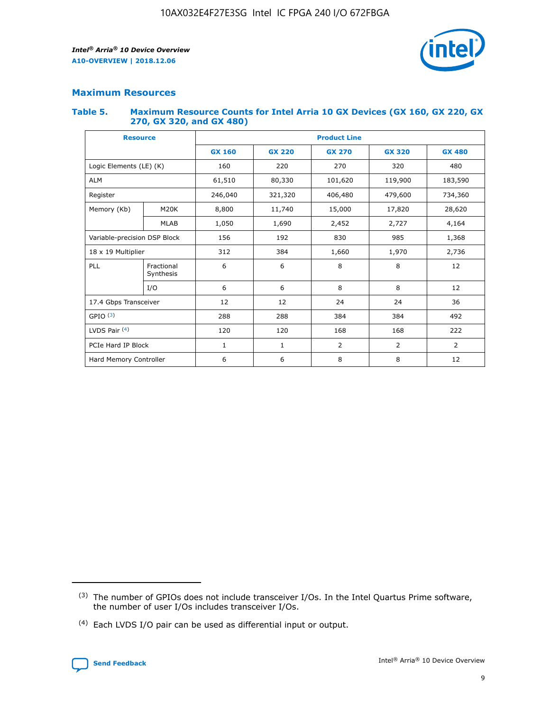

#### **Maximum Resources**

#### **Table 5. Maximum Resource Counts for Intel Arria 10 GX Devices (GX 160, GX 220, GX 270, GX 320, and GX 480)**

| <b>Resource</b>              |                         | <b>Product Line</b>      |                                |                |                |                |  |  |  |
|------------------------------|-------------------------|--------------------------|--------------------------------|----------------|----------------|----------------|--|--|--|
|                              |                         | <b>GX 160</b>            | <b>GX 220</b><br><b>GX 270</b> |                | <b>GX 320</b>  | <b>GX 480</b>  |  |  |  |
| Logic Elements (LE) (K)      |                         | 160                      | 220                            | 270            | 320            | 480            |  |  |  |
| <b>ALM</b>                   |                         | 61,510                   | 80,330                         | 101,620        | 119,900        | 183,590        |  |  |  |
| Register                     |                         | 246,040                  | 321,320                        | 406,480        |                | 734,360        |  |  |  |
| Memory (Kb)                  | M <sub>20</sub> K       | 8,800                    | 11,740                         |                | 17,820         | 28,620         |  |  |  |
|                              | <b>MLAB</b>             | 1,050                    | 1,690<br>2,452                 |                | 2,727          | 4,164          |  |  |  |
| Variable-precision DSP Block |                         | 156<br>192<br>830<br>985 |                                |                | 1,368          |                |  |  |  |
| 18 x 19 Multiplier           |                         | 312                      | 384                            | 1,970<br>1,660 |                | 2,736          |  |  |  |
| PLL                          | Fractional<br>Synthesis | 6                        | 6                              | 8              | 8              | 12             |  |  |  |
|                              | I/O                     | 6                        | 6                              | 8              | 8              | 12             |  |  |  |
| 17.4 Gbps Transceiver        |                         | 12                       | 12                             | 24             | 24             | 36             |  |  |  |
| GPIO <sup>(3)</sup>          |                         | 288                      | 288                            | 384<br>384     |                | 492            |  |  |  |
| LVDS Pair $(4)$              |                         | 120                      | 120                            | 168            | 168            | 222            |  |  |  |
| PCIe Hard IP Block           |                         | 1                        | 1                              | 2              | $\overline{2}$ | $\overline{2}$ |  |  |  |
| Hard Memory Controller       |                         | 6                        | 6                              | 8              | 8              | 12             |  |  |  |

<sup>(4)</sup> Each LVDS I/O pair can be used as differential input or output.



<sup>(3)</sup> The number of GPIOs does not include transceiver I/Os. In the Intel Quartus Prime software, the number of user I/Os includes transceiver I/Os.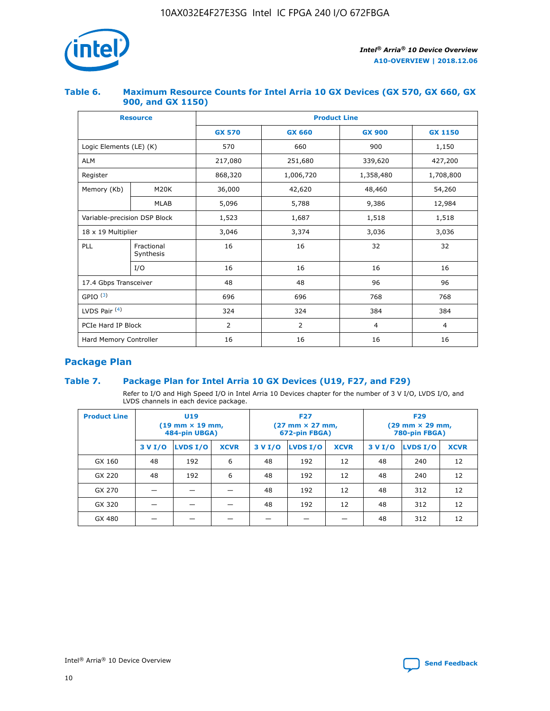

#### **Table 6. Maximum Resource Counts for Intel Arria 10 GX Devices (GX 570, GX 660, GX 900, and GX 1150)**

|                              | <b>Resource</b>         | <b>Product Line</b> |                |                |                |  |  |  |
|------------------------------|-------------------------|---------------------|----------------|----------------|----------------|--|--|--|
|                              |                         | <b>GX 570</b>       | <b>GX 660</b>  | <b>GX 900</b>  | <b>GX 1150</b> |  |  |  |
| Logic Elements (LE) (K)      |                         | 570                 | 660            | 900            | 1,150          |  |  |  |
| <b>ALM</b>                   |                         | 217,080             | 251,680        | 339,620        | 427,200        |  |  |  |
| Register                     |                         | 868,320             | 1,006,720      | 1,358,480      | 1,708,800      |  |  |  |
| Memory (Kb)                  | <b>M20K</b>             | 36,000              | 42,620         | 48,460         | 54,260         |  |  |  |
| <b>MLAB</b>                  |                         | 5,096               | 5,788          | 9,386          | 12,984         |  |  |  |
| Variable-precision DSP Block |                         | 1,523               | 1,687          | 1,518          | 1,518          |  |  |  |
| $18 \times 19$ Multiplier    |                         | 3,046               | 3,374          | 3,036          | 3,036          |  |  |  |
| PLL                          | Fractional<br>Synthesis | 16                  | 16             | 32             | 32             |  |  |  |
|                              | I/O                     | 16                  | 16             | 16             | 16             |  |  |  |
| 17.4 Gbps Transceiver        |                         | 48                  | 48             | 96             | 96             |  |  |  |
| GPIO <sup>(3)</sup>          |                         | 696                 | 696            | 768            | 768            |  |  |  |
| LVDS Pair $(4)$              |                         | 324                 | 324            | 384            | 384            |  |  |  |
| PCIe Hard IP Block           |                         | 2                   | $\overline{2}$ | $\overline{4}$ | 4              |  |  |  |
| Hard Memory Controller       |                         | 16                  | 16             | 16             | 16             |  |  |  |

## **Package Plan**

#### **Table 7. Package Plan for Intel Arria 10 GX Devices (U19, F27, and F29)**

Refer to I/O and High Speed I/O in Intel Arria 10 Devices chapter for the number of 3 V I/O, LVDS I/O, and LVDS channels in each device package.

| <b>Product Line</b> | U <sub>19</sub><br>$(19 \text{ mm} \times 19 \text{ mm})$<br>484-pin UBGA) |          |             |         | <b>F27</b><br>(27 mm × 27 mm,<br>672-pin FBGA) |             | <b>F29</b><br>(29 mm × 29 mm,<br>780-pin FBGA) |          |             |  |
|---------------------|----------------------------------------------------------------------------|----------|-------------|---------|------------------------------------------------|-------------|------------------------------------------------|----------|-------------|--|
|                     | 3 V I/O                                                                    | LVDS I/O | <b>XCVR</b> | 3 V I/O | LVDS I/O                                       | <b>XCVR</b> | 3 V I/O                                        | LVDS I/O | <b>XCVR</b> |  |
| GX 160              | 48                                                                         | 192      | 6           | 48      | 192                                            | 12          | 48                                             | 240      | 12          |  |
| GX 220              | 48                                                                         | 192      | 6           | 48      | 192                                            | 12          | 48                                             | 240      | 12          |  |
| GX 270              |                                                                            |          |             | 48      | 192                                            | 12          | 48                                             | 312      | 12          |  |
| GX 320              |                                                                            |          |             | 48      | 192                                            | 12          | 48                                             | 312      | 12          |  |
| GX 480              |                                                                            |          |             |         |                                                |             | 48                                             | 312      | 12          |  |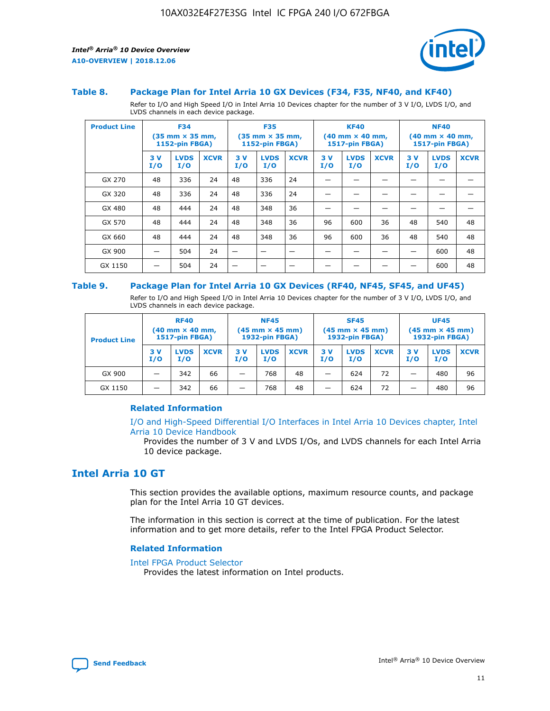

#### **Table 8. Package Plan for Intel Arria 10 GX Devices (F34, F35, NF40, and KF40)**

Refer to I/O and High Speed I/O in Intel Arria 10 Devices chapter for the number of 3 V I/O, LVDS I/O, and LVDS channels in each device package.

| <b>Product Line</b> | <b>F34</b><br>$(35 \text{ mm} \times 35 \text{ mm})$<br>1152-pin FBGA) |                    | <b>F35</b><br>$(35 \text{ mm} \times 35 \text{ mm})$<br><b>1152-pin FBGA)</b> |           | <b>KF40</b><br>$(40 \text{ mm} \times 40 \text{ mm})$<br>1517-pin FBGA) |             |            | <b>NF40</b><br>$(40 \text{ mm} \times 40 \text{ mm})$<br><b>1517-pin FBGA)</b> |             |            |                    |             |
|---------------------|------------------------------------------------------------------------|--------------------|-------------------------------------------------------------------------------|-----------|-------------------------------------------------------------------------|-------------|------------|--------------------------------------------------------------------------------|-------------|------------|--------------------|-------------|
|                     | 3V<br>I/O                                                              | <b>LVDS</b><br>I/O | <b>XCVR</b>                                                                   | 3V<br>I/O | <b>LVDS</b><br>I/O                                                      | <b>XCVR</b> | 3 V<br>I/O | <b>LVDS</b><br>I/O                                                             | <b>XCVR</b> | 3 V<br>I/O | <b>LVDS</b><br>I/O | <b>XCVR</b> |
| GX 270              | 48                                                                     | 336                | 24                                                                            | 48        | 336                                                                     | 24          |            |                                                                                |             |            |                    |             |
| GX 320              | 48                                                                     | 336                | 24                                                                            | 48        | 336                                                                     | 24          |            |                                                                                |             |            |                    |             |
| GX 480              | 48                                                                     | 444                | 24                                                                            | 48        | 348                                                                     | 36          |            |                                                                                |             |            |                    |             |
| GX 570              | 48                                                                     | 444                | 24                                                                            | 48        | 348                                                                     | 36          | 96         | 600                                                                            | 36          | 48         | 540                | 48          |
| GX 660              | 48                                                                     | 444                | 24                                                                            | 48        | 348                                                                     | 36          | 96         | 600                                                                            | 36          | 48         | 540                | 48          |
| GX 900              |                                                                        | 504                | 24                                                                            | -         |                                                                         |             |            |                                                                                |             |            | 600                | 48          |
| GX 1150             |                                                                        | 504                | 24                                                                            |           |                                                                         |             |            |                                                                                |             |            | 600                | 48          |

#### **Table 9. Package Plan for Intel Arria 10 GX Devices (RF40, NF45, SF45, and UF45)**

Refer to I/O and High Speed I/O in Intel Arria 10 Devices chapter for the number of 3 V I/O, LVDS I/O, and LVDS channels in each device package.

| <b>Product Line</b> | <b>RF40</b><br>$(40$ mm $\times$ 40 mm,<br>1517-pin FBGA) |                    |             | <b>NF45</b><br>$(45 \text{ mm} \times 45 \text{ mm})$<br><b>1932-pin FBGA)</b> |                    |             | <b>SF45</b><br>$(45 \text{ mm} \times 45 \text{ mm})$<br><b>1932-pin FBGA)</b> |                    |             | <b>UF45</b><br>$(45 \text{ mm} \times 45 \text{ mm})$<br><b>1932-pin FBGA)</b> |                    |             |
|---------------------|-----------------------------------------------------------|--------------------|-------------|--------------------------------------------------------------------------------|--------------------|-------------|--------------------------------------------------------------------------------|--------------------|-------------|--------------------------------------------------------------------------------|--------------------|-------------|
|                     | 3V<br>I/O                                                 | <b>LVDS</b><br>I/O | <b>XCVR</b> | 3 V<br>I/O                                                                     | <b>LVDS</b><br>I/O | <b>XCVR</b> | 3 V<br>I/O                                                                     | <b>LVDS</b><br>I/O | <b>XCVR</b> | 3V<br>I/O                                                                      | <b>LVDS</b><br>I/O | <b>XCVR</b> |
| GX 900              |                                                           | 342                | 66          | _                                                                              | 768                | 48          |                                                                                | 624                | 72          |                                                                                | 480                | 96          |
| GX 1150             |                                                           | 342                | 66          | _                                                                              | 768                | 48          |                                                                                | 624                | 72          |                                                                                | 480                | 96          |

#### **Related Information**

[I/O and High-Speed Differential I/O Interfaces in Intel Arria 10 Devices chapter, Intel](https://www.intel.com/content/www/us/en/programmable/documentation/sam1403482614086.html#sam1403482030321) [Arria 10 Device Handbook](https://www.intel.com/content/www/us/en/programmable/documentation/sam1403482614086.html#sam1403482030321)

Provides the number of 3 V and LVDS I/Os, and LVDS channels for each Intel Arria 10 device package.

## **Intel Arria 10 GT**

This section provides the available options, maximum resource counts, and package plan for the Intel Arria 10 GT devices.

The information in this section is correct at the time of publication. For the latest information and to get more details, refer to the Intel FPGA Product Selector.

#### **Related Information**

#### [Intel FPGA Product Selector](http://www.altera.com/products/selector/psg-selector.html)

Provides the latest information on Intel products.

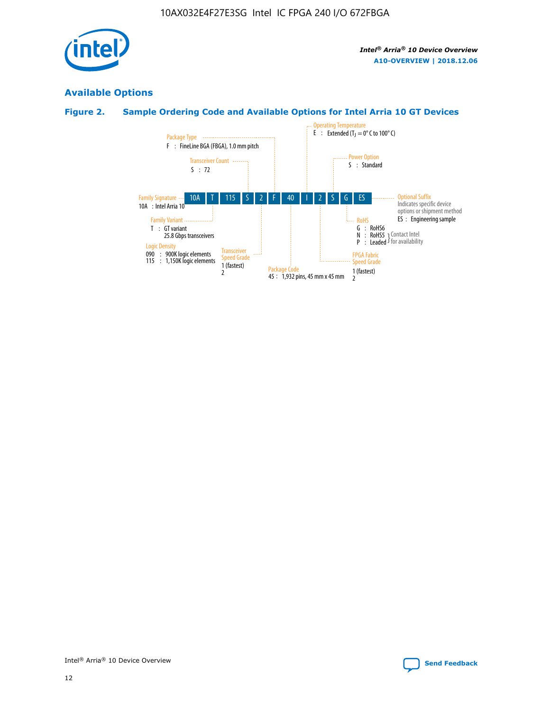

## **Available Options**

## **Figure 2. Sample Ordering Code and Available Options for Intel Arria 10 GT Devices**

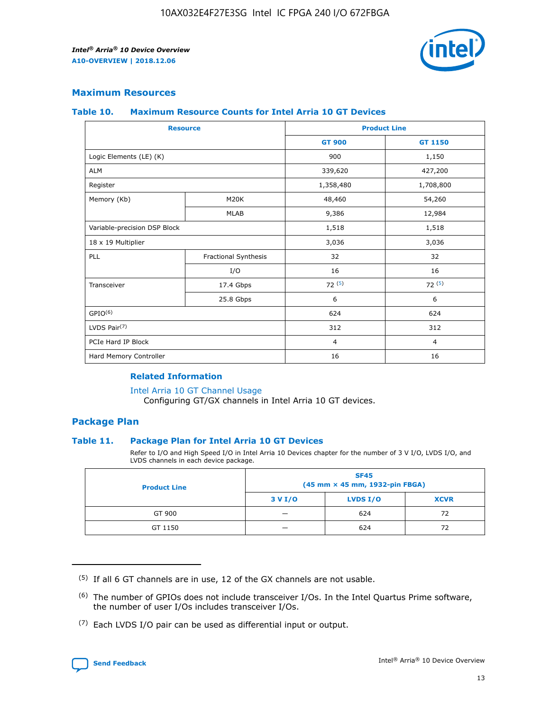

#### **Maximum Resources**

#### **Table 10. Maximum Resource Counts for Intel Arria 10 GT Devices**

|                              | <b>Resource</b>      | <b>Product Line</b> |                |  |
|------------------------------|----------------------|---------------------|----------------|--|
|                              |                      | <b>GT 900</b>       | GT 1150        |  |
| Logic Elements (LE) (K)      |                      | 900                 | 1,150          |  |
| <b>ALM</b>                   |                      | 339,620             | 427,200        |  |
| Register                     |                      | 1,358,480           | 1,708,800      |  |
| Memory (Kb)                  | M20K                 | 48,460              | 54,260         |  |
|                              | <b>MLAB</b>          | 9,386               | 12,984         |  |
| Variable-precision DSP Block |                      | 1,518               | 1,518          |  |
| 18 x 19 Multiplier           |                      | 3,036               | 3,036          |  |
| PLL                          | Fractional Synthesis | 32                  | 32             |  |
|                              | I/O                  | 16                  | 16             |  |
| Transceiver                  | 17.4 Gbps            | 72(5)               | 72(5)          |  |
|                              | 25.8 Gbps            | 6                   | 6              |  |
| GPIO <sup>(6)</sup>          |                      | 624                 | 624            |  |
| LVDS Pair $(7)$              |                      | 312                 | 312            |  |
| PCIe Hard IP Block           |                      | $\overline{4}$      | $\overline{4}$ |  |
| Hard Memory Controller       |                      | 16                  | 16             |  |

#### **Related Information**

#### [Intel Arria 10 GT Channel Usage](https://www.intel.com/content/www/us/en/programmable/documentation/nik1398707230472.html#nik1398707008178)

Configuring GT/GX channels in Intel Arria 10 GT devices.

#### **Package Plan**

#### **Table 11. Package Plan for Intel Arria 10 GT Devices**

Refer to I/O and High Speed I/O in Intel Arria 10 Devices chapter for the number of 3 V I/O, LVDS I/O, and LVDS channels in each device package.

| <b>Product Line</b> | <b>SF45</b><br>(45 mm × 45 mm, 1932-pin FBGA) |                 |             |  |  |  |
|---------------------|-----------------------------------------------|-----------------|-------------|--|--|--|
|                     | 3 V I/O                                       | <b>LVDS I/O</b> | <b>XCVR</b> |  |  |  |
| GT 900              |                                               | 624             | 72          |  |  |  |
| GT 1150             |                                               | 624             | 72          |  |  |  |

<sup>(7)</sup> Each LVDS I/O pair can be used as differential input or output.



 $(5)$  If all 6 GT channels are in use, 12 of the GX channels are not usable.

<sup>(6)</sup> The number of GPIOs does not include transceiver I/Os. In the Intel Quartus Prime software, the number of user I/Os includes transceiver I/Os.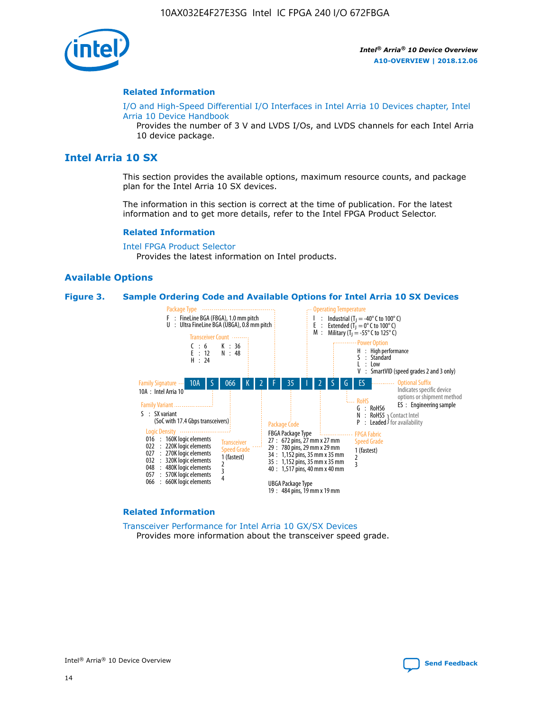

#### **Related Information**

[I/O and High-Speed Differential I/O Interfaces in Intel Arria 10 Devices chapter, Intel](https://www.intel.com/content/www/us/en/programmable/documentation/sam1403482614086.html#sam1403482030321) [Arria 10 Device Handbook](https://www.intel.com/content/www/us/en/programmable/documentation/sam1403482614086.html#sam1403482030321)

Provides the number of 3 V and LVDS I/Os, and LVDS channels for each Intel Arria 10 device package.

## **Intel Arria 10 SX**

This section provides the available options, maximum resource counts, and package plan for the Intel Arria 10 SX devices.

The information in this section is correct at the time of publication. For the latest information and to get more details, refer to the Intel FPGA Product Selector.

#### **Related Information**

[Intel FPGA Product Selector](http://www.altera.com/products/selector/psg-selector.html) Provides the latest information on Intel products.

#### **Available Options**

#### **Figure 3. Sample Ordering Code and Available Options for Intel Arria 10 SX Devices**



#### **Related Information**

[Transceiver Performance for Intel Arria 10 GX/SX Devices](https://www.intel.com/content/www/us/en/programmable/documentation/mcn1413182292568.html#mcn1413213965502) Provides more information about the transceiver speed grade.

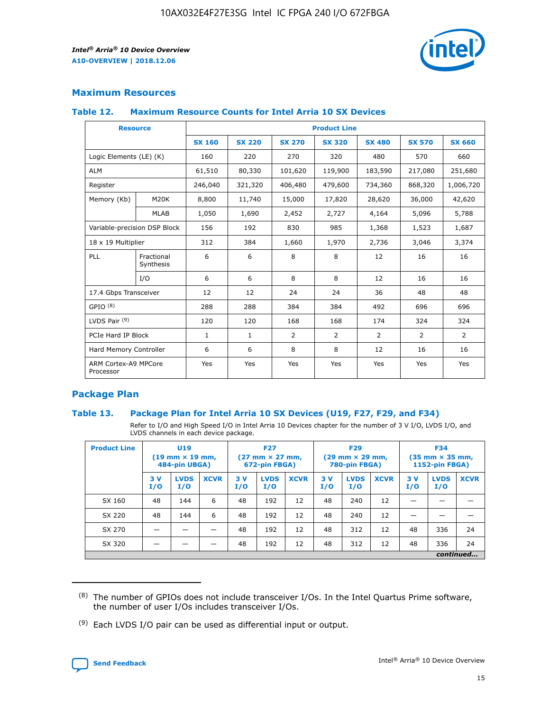

#### **Maximum Resources**

#### **Table 12. Maximum Resource Counts for Intel Arria 10 SX Devices**

| <b>Resource</b>                   |                         | <b>Product Line</b> |               |                |                |               |                |                |  |  |  |
|-----------------------------------|-------------------------|---------------------|---------------|----------------|----------------|---------------|----------------|----------------|--|--|--|
|                                   |                         | <b>SX 160</b>       | <b>SX 220</b> | <b>SX 270</b>  | <b>SX 320</b>  | <b>SX 480</b> | <b>SX 570</b>  | <b>SX 660</b>  |  |  |  |
| Logic Elements (LE) (K)           |                         | 160                 | 220           | 270            | 320            | 480           | 570            | 660            |  |  |  |
| <b>ALM</b>                        |                         | 61,510              | 80,330        | 101,620        | 119,900        | 183,590       | 217,080        | 251,680        |  |  |  |
| Register                          |                         | 246,040             | 321,320       | 406,480        | 479,600        | 734,360       | 868,320        | 1,006,720      |  |  |  |
| Memory (Kb)                       | <b>M20K</b>             | 8,800               | 11,740        | 15,000         | 17,820         | 28,620        | 36,000         | 42,620         |  |  |  |
|                                   | <b>MLAB</b>             | 1,050               | 1,690         | 2,452          | 2,727          | 4,164         | 5,096          | 5,788          |  |  |  |
| Variable-precision DSP Block      |                         | 156                 | 192           | 830            | 985            | 1,368         | 1,523          | 1,687          |  |  |  |
| 18 x 19 Multiplier                |                         | 312                 | 384           | 1,660          | 1,970          | 2,736         | 3,046          | 3,374          |  |  |  |
| PLL                               | Fractional<br>Synthesis | 6                   | 6             | 8              | 8              | 12            | 16             | 16             |  |  |  |
|                                   | I/O                     | 6                   | 6             | 8              | 8              | 12            | 16             | 16             |  |  |  |
| 17.4 Gbps Transceiver             |                         | 12                  | 12            | 24             | 24             | 36            | 48             | 48             |  |  |  |
| GPIO <sup>(8)</sup>               |                         | 288                 | 288           | 384            | 384            | 492           | 696            | 696            |  |  |  |
| LVDS Pair $(9)$                   |                         | 120                 | 120           | 168            | 168            | 174           | 324            | 324            |  |  |  |
| PCIe Hard IP Block                |                         | $\mathbf{1}$        | $\mathbf{1}$  | $\overline{2}$ | $\overline{2}$ | 2             | $\overline{2}$ | $\overline{2}$ |  |  |  |
| Hard Memory Controller            |                         | 6                   | 6             | 8              | 8              | 12            | 16             | 16             |  |  |  |
| ARM Cortex-A9 MPCore<br>Processor |                         | Yes                 | Yes           | Yes            | Yes            | Yes           | Yes            | <b>Yes</b>     |  |  |  |

#### **Package Plan**

#### **Table 13. Package Plan for Intel Arria 10 SX Devices (U19, F27, F29, and F34)**

Refer to I/O and High Speed I/O in Intel Arria 10 Devices chapter for the number of 3 V I/O, LVDS I/O, and LVDS channels in each device package.

| <b>Product Line</b> | <b>U19</b><br>$(19$ mm $\times$ 19 mm,<br>484-pin UBGA) |                    |             | <b>F27</b><br>$(27 \text{ mm} \times 27 \text{ mm})$<br>672-pin FBGA) |                    | <b>F29</b><br>$(29 \text{ mm} \times 29 \text{ mm})$<br>780-pin FBGA) |           |                    | <b>F34</b><br>$(35 \text{ mm} \times 35 \text{ mm})$<br><b>1152-pin FBGA)</b> |           |                    |             |
|---------------------|---------------------------------------------------------|--------------------|-------------|-----------------------------------------------------------------------|--------------------|-----------------------------------------------------------------------|-----------|--------------------|-------------------------------------------------------------------------------|-----------|--------------------|-------------|
|                     | 3V<br>I/O                                               | <b>LVDS</b><br>I/O | <b>XCVR</b> | 3V<br>I/O                                                             | <b>LVDS</b><br>I/O | <b>XCVR</b>                                                           | 3V<br>I/O | <b>LVDS</b><br>I/O | <b>XCVR</b>                                                                   | 3V<br>I/O | <b>LVDS</b><br>I/O | <b>XCVR</b> |
| SX 160              | 48                                                      | 144                | 6           | 48                                                                    | 192                | 12                                                                    | 48        | 240                | 12                                                                            | -         |                    |             |
| SX 220              | 48                                                      | 144                | 6           | 48                                                                    | 192                | 12                                                                    | 48        | 240                | 12                                                                            |           |                    |             |
| SX 270              |                                                         |                    |             | 48                                                                    | 192                | 12                                                                    | 48        | 312                | 12                                                                            | 48        | 336                | 24          |
| SX 320              |                                                         |                    |             | 48                                                                    | 192                | 12                                                                    | 48        | 312                | 12                                                                            | 48        | 336                | 24          |
|                     | continued                                               |                    |             |                                                                       |                    |                                                                       |           |                    |                                                                               |           |                    |             |

 $(8)$  The number of GPIOs does not include transceiver I/Os. In the Intel Quartus Prime software, the number of user I/Os includes transceiver I/Os.

 $(9)$  Each LVDS I/O pair can be used as differential input or output.

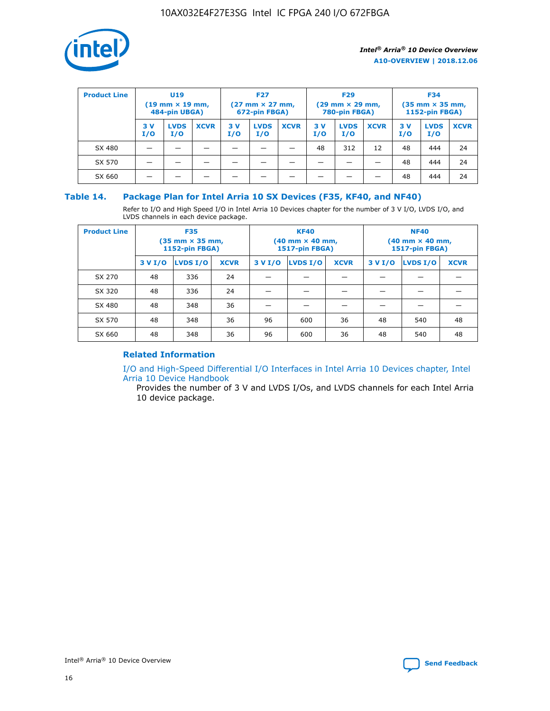

| <b>Product Line</b> | U <sub>19</sub><br>$(19 \text{ mm} \times 19 \text{ mm})$<br>484-pin UBGA) |                    | <b>F27</b><br>$(27 \text{ mm} \times 27 \text{ mm})$<br>672-pin FBGA) |           |                    | <b>F29</b><br>$(29 \text{ mm} \times 29 \text{ mm})$<br>780-pin FBGA) |           |                    | <b>F34</b><br>$(35$ mm $\times$ 35 mm,<br><b>1152-pin FBGA)</b> |           |                    |             |
|---------------------|----------------------------------------------------------------------------|--------------------|-----------------------------------------------------------------------|-----------|--------------------|-----------------------------------------------------------------------|-----------|--------------------|-----------------------------------------------------------------|-----------|--------------------|-------------|
|                     | 3V<br>I/O                                                                  | <b>LVDS</b><br>I/O | <b>XCVR</b>                                                           | 3V<br>I/O | <b>LVDS</b><br>I/O | <b>XCVR</b>                                                           | 3V<br>I/O | <b>LVDS</b><br>I/O | <b>XCVR</b>                                                     | 3V<br>I/O | <b>LVDS</b><br>I/O | <b>XCVR</b> |
| SX 480              |                                                                            |                    |                                                                       |           |                    |                                                                       | 48        | 312                | 12                                                              | 48        | 444                | 24          |
| SX 570              |                                                                            |                    |                                                                       |           |                    |                                                                       |           |                    |                                                                 | 48        | 444                | 24          |
| SX 660              |                                                                            |                    |                                                                       |           |                    |                                                                       |           |                    |                                                                 | 48        | 444                | 24          |

#### **Table 14. Package Plan for Intel Arria 10 SX Devices (F35, KF40, and NF40)**

Refer to I/O and High Speed I/O in Intel Arria 10 Devices chapter for the number of 3 V I/O, LVDS I/O, and LVDS channels in each device package.

| <b>Product Line</b> | <b>F35</b><br>$(35 \text{ mm} \times 35 \text{ mm})$<br><b>1152-pin FBGA)</b> |          |             |                                           | <b>KF40</b><br>(40 mm × 40 mm,<br>1517-pin FBGA) |    | <b>NF40</b><br>$(40 \text{ mm} \times 40 \text{ mm})$<br>1517-pin FBGA) |          |             |  |
|---------------------|-------------------------------------------------------------------------------|----------|-------------|-------------------------------------------|--------------------------------------------------|----|-------------------------------------------------------------------------|----------|-------------|--|
|                     | 3 V I/O                                                                       | LVDS I/O | <b>XCVR</b> | <b>LVDS I/O</b><br><b>XCVR</b><br>3 V I/O |                                                  |    | 3 V I/O                                                                 | LVDS I/O | <b>XCVR</b> |  |
| SX 270              | 48                                                                            | 336      | 24          |                                           |                                                  |    |                                                                         |          |             |  |
| SX 320              | 48                                                                            | 336      | 24          |                                           |                                                  |    |                                                                         |          |             |  |
| SX 480              | 48                                                                            | 348      | 36          |                                           |                                                  |    |                                                                         |          |             |  |
| SX 570              | 48                                                                            | 348      | 36          | 96                                        | 600                                              | 36 | 48                                                                      | 540      | 48          |  |
| SX 660              | 48                                                                            | 348      | 36          | 96                                        | 600                                              | 36 | 48                                                                      | 540      | 48          |  |

#### **Related Information**

[I/O and High-Speed Differential I/O Interfaces in Intel Arria 10 Devices chapter, Intel](https://www.intel.com/content/www/us/en/programmable/documentation/sam1403482614086.html#sam1403482030321) [Arria 10 Device Handbook](https://www.intel.com/content/www/us/en/programmable/documentation/sam1403482614086.html#sam1403482030321)

Provides the number of 3 V and LVDS I/Os, and LVDS channels for each Intel Arria 10 device package.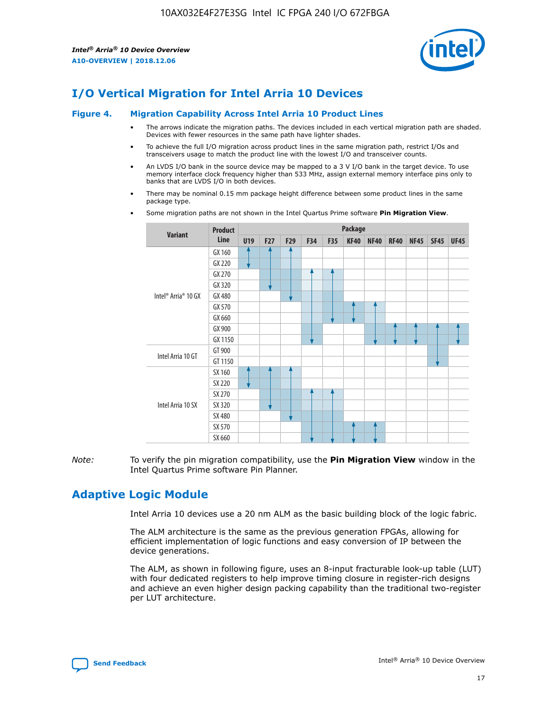

## **I/O Vertical Migration for Intel Arria 10 Devices**

#### **Figure 4. Migration Capability Across Intel Arria 10 Product Lines**

- The arrows indicate the migration paths. The devices included in each vertical migration path are shaded. Devices with fewer resources in the same path have lighter shades.
- To achieve the full I/O migration across product lines in the same migration path, restrict I/Os and transceivers usage to match the product line with the lowest I/O and transceiver counts.
- An LVDS I/O bank in the source device may be mapped to a 3 V I/O bank in the target device. To use memory interface clock frequency higher than 533 MHz, assign external memory interface pins only to banks that are LVDS I/O in both devices.
- There may be nominal 0.15 mm package height difference between some product lines in the same package type.
	- **Variant Product Line Package U19 F27 F29 F34 F35 KF40 NF40 RF40 NF45 SF45 UF45** Intel® Arria® 10 GX GX 160 GX 220 GX 270 GX 320 GX 480 GX 570 GX 660 GX 900 GX 1150 Intel Arria 10 GT GT 900 GT 1150 Intel Arria 10 SX SX 160 SX 220 SX 270 SX 320 SX 480 SX 570 SX 660
- Some migration paths are not shown in the Intel Quartus Prime software **Pin Migration View**.

*Note:* To verify the pin migration compatibility, use the **Pin Migration View** window in the Intel Quartus Prime software Pin Planner.

## **Adaptive Logic Module**

Intel Arria 10 devices use a 20 nm ALM as the basic building block of the logic fabric.

The ALM architecture is the same as the previous generation FPGAs, allowing for efficient implementation of logic functions and easy conversion of IP between the device generations.

The ALM, as shown in following figure, uses an 8-input fracturable look-up table (LUT) with four dedicated registers to help improve timing closure in register-rich designs and achieve an even higher design packing capability than the traditional two-register per LUT architecture.

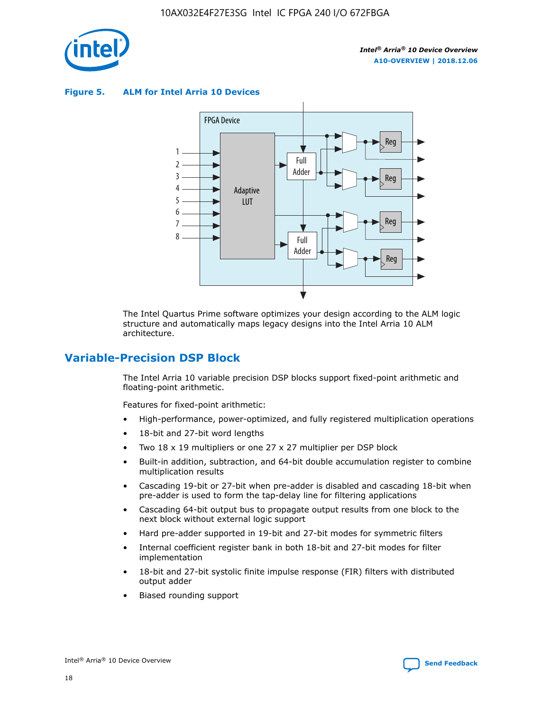

**Figure 5. ALM for Intel Arria 10 Devices**



The Intel Quartus Prime software optimizes your design according to the ALM logic structure and automatically maps legacy designs into the Intel Arria 10 ALM architecture.

## **Variable-Precision DSP Block**

The Intel Arria 10 variable precision DSP blocks support fixed-point arithmetic and floating-point arithmetic.

Features for fixed-point arithmetic:

- High-performance, power-optimized, and fully registered multiplication operations
- 18-bit and 27-bit word lengths
- Two 18 x 19 multipliers or one 27 x 27 multiplier per DSP block
- Built-in addition, subtraction, and 64-bit double accumulation register to combine multiplication results
- Cascading 19-bit or 27-bit when pre-adder is disabled and cascading 18-bit when pre-adder is used to form the tap-delay line for filtering applications
- Cascading 64-bit output bus to propagate output results from one block to the next block without external logic support
- Hard pre-adder supported in 19-bit and 27-bit modes for symmetric filters
- Internal coefficient register bank in both 18-bit and 27-bit modes for filter implementation
- 18-bit and 27-bit systolic finite impulse response (FIR) filters with distributed output adder
- Biased rounding support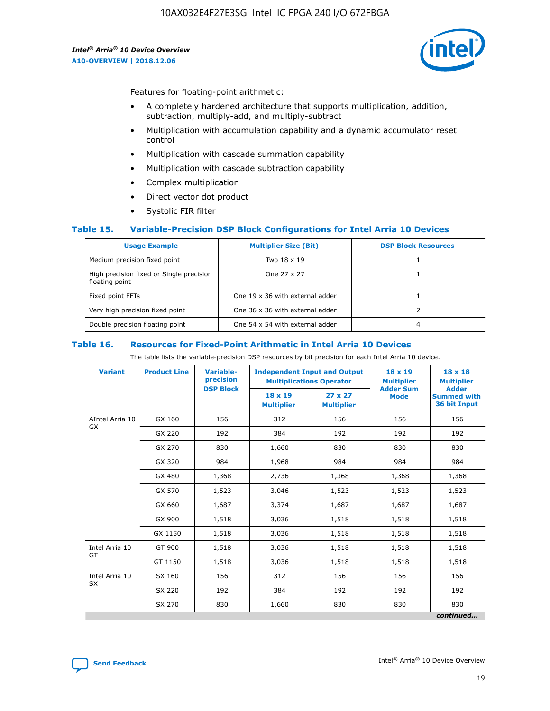

Features for floating-point arithmetic:

- A completely hardened architecture that supports multiplication, addition, subtraction, multiply-add, and multiply-subtract
- Multiplication with accumulation capability and a dynamic accumulator reset control
- Multiplication with cascade summation capability
- Multiplication with cascade subtraction capability
- Complex multiplication
- Direct vector dot product
- Systolic FIR filter

#### **Table 15. Variable-Precision DSP Block Configurations for Intel Arria 10 Devices**

| <b>Usage Example</b>                                       | <b>Multiplier Size (Bit)</b>    | <b>DSP Block Resources</b> |
|------------------------------------------------------------|---------------------------------|----------------------------|
| Medium precision fixed point                               | Two 18 x 19                     |                            |
| High precision fixed or Single precision<br>floating point | One 27 x 27                     |                            |
| Fixed point FFTs                                           | One 19 x 36 with external adder |                            |
| Very high precision fixed point                            | One 36 x 36 with external adder |                            |
| Double precision floating point                            | One 54 x 54 with external adder | 4                          |

#### **Table 16. Resources for Fixed-Point Arithmetic in Intel Arria 10 Devices**

The table lists the variable-precision DSP resources by bit precision for each Intel Arria 10 device.

| <b>Variant</b>        | <b>Product Line</b> | <b>Variable-</b><br>precision<br><b>DSP Block</b> | <b>Independent Input and Output</b><br><b>Multiplications Operator</b> |                                     | 18 x 19<br><b>Multiplier</b><br><b>Adder Sum</b> | $18 \times 18$<br><b>Multiplier</b><br><b>Adder</b> |
|-----------------------|---------------------|---------------------------------------------------|------------------------------------------------------------------------|-------------------------------------|--------------------------------------------------|-----------------------------------------------------|
|                       |                     |                                                   | 18 x 19<br><b>Multiplier</b>                                           | $27 \times 27$<br><b>Multiplier</b> | <b>Mode</b>                                      | <b>Summed with</b><br>36 bit Input                  |
| AIntel Arria 10<br>GX | GX 160              | 156                                               | 312                                                                    | 156                                 | 156                                              | 156                                                 |
|                       | GX 220              | 192                                               | 384                                                                    | 192                                 | 192                                              | 192                                                 |
|                       | GX 270              | 830                                               | 1,660                                                                  | 830                                 | 830                                              | 830                                                 |
|                       | GX 320              | 984                                               | 1,968                                                                  | 984                                 | 984                                              | 984                                                 |
|                       | GX 480              | 1,368                                             | 2,736                                                                  | 1,368                               | 1,368                                            | 1,368                                               |
|                       | GX 570              | 1,523                                             | 3,046                                                                  | 1,523                               | 1,523                                            | 1,523                                               |
|                       | GX 660              | 1,687                                             | 3,374                                                                  | 1,687                               | 1,687                                            | 1,687                                               |
|                       | GX 900              | 1,518                                             | 3,036                                                                  | 1,518                               | 1,518                                            | 1,518                                               |
|                       | GX 1150             | 1,518                                             | 3,036                                                                  | 1,518                               | 1,518                                            | 1,518                                               |
| Intel Arria 10        | GT 900              | 1,518                                             | 3,036                                                                  | 1,518                               | 1,518                                            | 1,518                                               |
| GT                    | GT 1150             | 1,518                                             | 3,036                                                                  | 1,518                               | 1,518                                            | 1,518                                               |
| Intel Arria 10        | SX 160              | 156                                               | 312                                                                    | 156                                 | 156                                              | 156                                                 |
| <b>SX</b>             | SX 220              | 192                                               | 384                                                                    | 192                                 | 192                                              | 192                                                 |
|                       | SX 270              | 830                                               | 1,660                                                                  | 830                                 | 830                                              | 830                                                 |
|                       |                     |                                                   |                                                                        |                                     |                                                  | continued                                           |

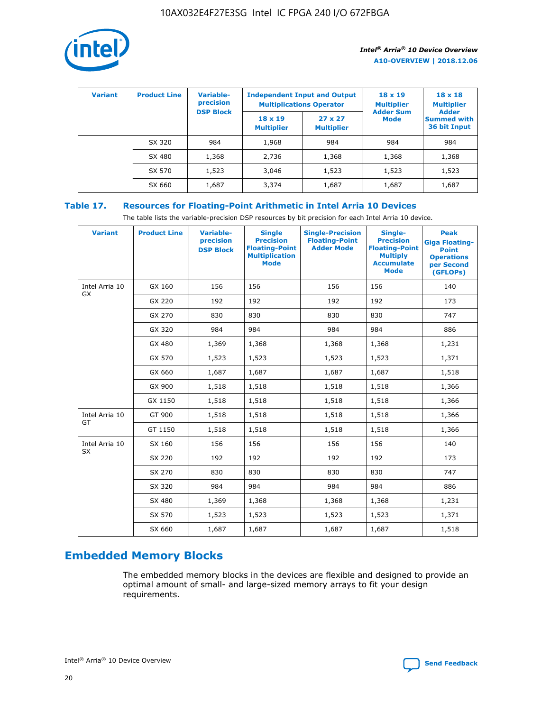

| <b>Variant</b> | <b>Product Line</b> | Variable-<br>precision | <b>Independent Input and Output</b><br><b>Multiplications Operator</b> |                                     | $18 \times 19$<br><b>Multiplier</b> | $18 \times 18$<br><b>Multiplier</b><br><b>Adder</b> |  |
|----------------|---------------------|------------------------|------------------------------------------------------------------------|-------------------------------------|-------------------------------------|-----------------------------------------------------|--|
|                |                     | <b>DSP Block</b>       | $18 \times 19$<br><b>Multiplier</b>                                    | $27 \times 27$<br><b>Multiplier</b> | <b>Adder Sum</b><br><b>Mode</b>     | <b>Summed with</b><br>36 bit Input                  |  |
|                | SX 320              | 984                    | 1,968                                                                  | 984                                 | 984                                 | 984                                                 |  |
|                | SX 480              | 1,368                  | 2,736                                                                  | 1,368                               | 1,368                               | 1,368                                               |  |
|                | SX 570              | 1,523                  | 3,046                                                                  | 1,523                               | 1,523                               | 1,523                                               |  |
|                | SX 660              | 1,687                  | 3,374                                                                  | 1,687                               | 1,687                               | 1,687                                               |  |

## **Table 17. Resources for Floating-Point Arithmetic in Intel Arria 10 Devices**

The table lists the variable-precision DSP resources by bit precision for each Intel Arria 10 device.

| <b>Variant</b>              | <b>Product Line</b> | <b>Variable-</b><br>precision<br><b>DSP Block</b> | <b>Single</b><br><b>Precision</b><br><b>Floating-Point</b><br><b>Multiplication</b><br><b>Mode</b> | <b>Single-Precision</b><br><b>Floating-Point</b><br><b>Adder Mode</b> | Single-<br><b>Precision</b><br><b>Floating-Point</b><br><b>Multiply</b><br><b>Accumulate</b><br><b>Mode</b> | <b>Peak</b><br><b>Giga Floating-</b><br><b>Point</b><br><b>Operations</b><br>per Second<br>(GFLOPs) |
|-----------------------------|---------------------|---------------------------------------------------|----------------------------------------------------------------------------------------------------|-----------------------------------------------------------------------|-------------------------------------------------------------------------------------------------------------|-----------------------------------------------------------------------------------------------------|
| Intel Arria 10<br><b>GX</b> | GX 160              | 156                                               | 156                                                                                                | 156                                                                   | 156                                                                                                         | 140                                                                                                 |
|                             | GX 220              | 192                                               | 192                                                                                                | 192                                                                   | 192                                                                                                         | 173                                                                                                 |
|                             | GX 270              | 830                                               | 830                                                                                                | 830                                                                   | 830                                                                                                         | 747                                                                                                 |
|                             | GX 320              | 984                                               | 984                                                                                                | 984                                                                   | 984                                                                                                         | 886                                                                                                 |
|                             | GX 480              | 1,369                                             | 1,368                                                                                              | 1,368                                                                 | 1,368                                                                                                       | 1,231                                                                                               |
|                             | GX 570              | 1,523                                             | 1,523                                                                                              | 1,523                                                                 | 1,523                                                                                                       | 1,371                                                                                               |
|                             | GX 660              | 1,687                                             | 1,687                                                                                              | 1,687                                                                 | 1,687                                                                                                       | 1,518                                                                                               |
|                             | GX 900              | 1,518                                             | 1,518                                                                                              | 1,518                                                                 | 1,518                                                                                                       | 1,366                                                                                               |
|                             | GX 1150             | 1,518                                             | 1,518                                                                                              | 1,518                                                                 | 1,518                                                                                                       | 1,366                                                                                               |
| Intel Arria 10              | GT 900              | 1,518                                             | 1,518                                                                                              | 1,518                                                                 | 1,518                                                                                                       | 1,366                                                                                               |
| GT                          | GT 1150             | 1,518                                             | 1,518                                                                                              | 1,518                                                                 | 1,518                                                                                                       | 1,366                                                                                               |
| Intel Arria 10              | SX 160              | 156                                               | 156                                                                                                | 156                                                                   | 156                                                                                                         | 140                                                                                                 |
| <b>SX</b>                   | SX 220              | 192                                               | 192                                                                                                | 192                                                                   | 192                                                                                                         | 173                                                                                                 |
|                             | SX 270              | 830                                               | 830                                                                                                | 830                                                                   | 830                                                                                                         | 747                                                                                                 |
|                             | SX 320              | 984                                               | 984                                                                                                | 984                                                                   | 984                                                                                                         | 886                                                                                                 |
|                             | SX 480              | 1,369                                             | 1,368                                                                                              | 1,368                                                                 | 1,368                                                                                                       | 1,231                                                                                               |
|                             | SX 570              | 1,523                                             | 1,523                                                                                              | 1,523                                                                 | 1,523                                                                                                       | 1,371                                                                                               |
|                             | SX 660              | 1,687                                             | 1,687                                                                                              | 1,687                                                                 | 1,687                                                                                                       | 1,518                                                                                               |

## **Embedded Memory Blocks**

The embedded memory blocks in the devices are flexible and designed to provide an optimal amount of small- and large-sized memory arrays to fit your design requirements.

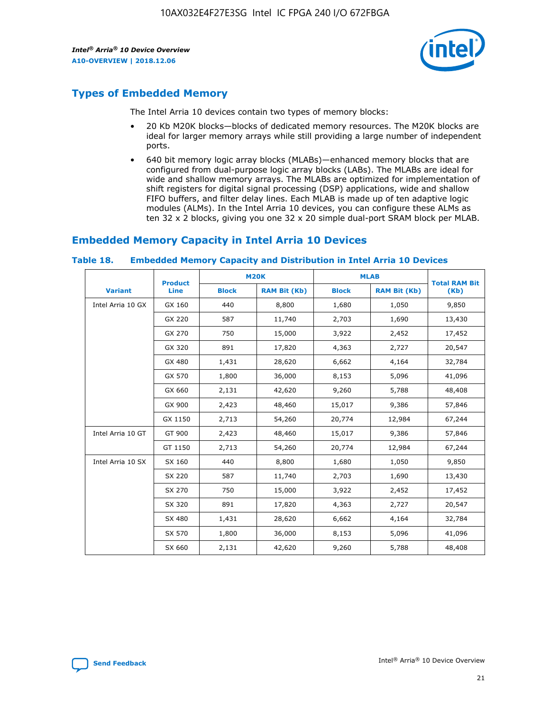

## **Types of Embedded Memory**

The Intel Arria 10 devices contain two types of memory blocks:

- 20 Kb M20K blocks—blocks of dedicated memory resources. The M20K blocks are ideal for larger memory arrays while still providing a large number of independent ports.
- 640 bit memory logic array blocks (MLABs)—enhanced memory blocks that are configured from dual-purpose logic array blocks (LABs). The MLABs are ideal for wide and shallow memory arrays. The MLABs are optimized for implementation of shift registers for digital signal processing (DSP) applications, wide and shallow FIFO buffers, and filter delay lines. Each MLAB is made up of ten adaptive logic modules (ALMs). In the Intel Arria 10 devices, you can configure these ALMs as ten 32 x 2 blocks, giving you one 32 x 20 simple dual-port SRAM block per MLAB.

## **Embedded Memory Capacity in Intel Arria 10 Devices**

|                   | <b>Product</b> |              | <b>M20K</b>         | <b>MLAB</b>  |                     | <b>Total RAM Bit</b> |
|-------------------|----------------|--------------|---------------------|--------------|---------------------|----------------------|
| <b>Variant</b>    | <b>Line</b>    | <b>Block</b> | <b>RAM Bit (Kb)</b> | <b>Block</b> | <b>RAM Bit (Kb)</b> | (Kb)                 |
| Intel Arria 10 GX | GX 160         | 440          | 8,800               | 1,680        | 1,050               | 9,850                |
|                   | GX 220         | 587          | 11,740              | 2,703        | 1,690               | 13,430               |
|                   | GX 270         | 750          | 15,000              | 3,922        | 2,452               | 17,452               |
|                   | GX 320         | 891          | 17,820              | 4,363        | 2,727               | 20,547               |
|                   | GX 480         | 1,431        | 28,620              | 6,662        | 4,164               | 32,784               |
|                   | GX 570         | 1,800        | 36,000              | 8,153        | 5,096               | 41,096               |
|                   | GX 660         | 2,131        | 42,620              | 9,260        | 5,788               | 48,408               |
|                   | GX 900         | 2,423        | 48,460              | 15,017       | 9,386               | 57,846               |
|                   | GX 1150        | 2,713        | 54,260              | 20,774       | 12,984              | 67,244               |
| Intel Arria 10 GT | GT 900         | 2,423        | 48,460              | 15,017       | 9,386               | 57,846               |
|                   | GT 1150        | 2,713        | 54,260              | 20,774       | 12,984              | 67,244               |
| Intel Arria 10 SX | SX 160         | 440          | 8,800               | 1,680        | 1,050               | 9,850                |
|                   | SX 220         | 587          | 11,740              | 2,703        | 1,690               | 13,430               |
|                   | SX 270         | 750          | 15,000              | 3,922        | 2,452               | 17,452               |
|                   | SX 320         | 891          | 17,820              | 4,363        | 2,727               | 20,547               |
|                   | SX 480         | 1,431        | 28,620              | 6,662        | 4,164               | 32,784               |
|                   | SX 570         | 1,800        | 36,000              | 8,153        | 5,096               | 41,096               |
|                   | SX 660         | 2,131        | 42,620              | 9,260        | 5,788               | 48,408               |

#### **Table 18. Embedded Memory Capacity and Distribution in Intel Arria 10 Devices**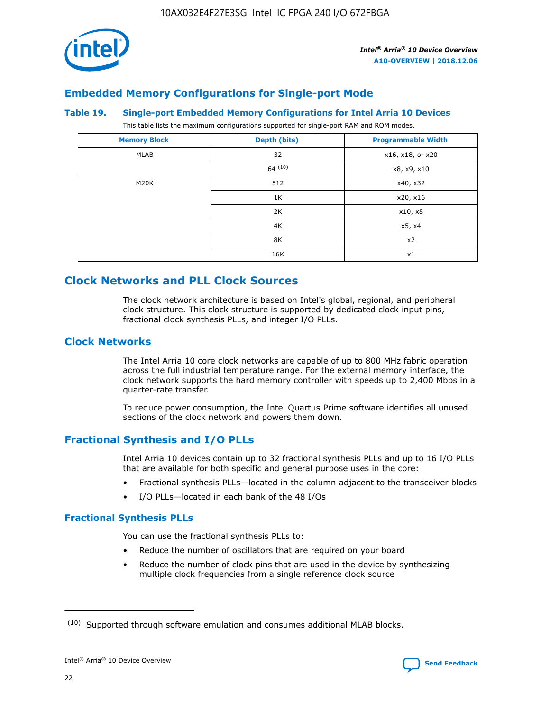

## **Embedded Memory Configurations for Single-port Mode**

#### **Table 19. Single-port Embedded Memory Configurations for Intel Arria 10 Devices**

This table lists the maximum configurations supported for single-port RAM and ROM modes.

| <b>Memory Block</b> | Depth (bits) | <b>Programmable Width</b> |
|---------------------|--------------|---------------------------|
| MLAB                | 32           | x16, x18, or x20          |
|                     | 64(10)       | x8, x9, x10               |
| M20K                | 512          | x40, x32                  |
|                     | 1K           | x20, x16                  |
|                     | 2K           | x10, x8                   |
|                     | 4K           | x5, x4                    |
|                     | 8K           | x2                        |
|                     | 16K          | x1                        |

## **Clock Networks and PLL Clock Sources**

The clock network architecture is based on Intel's global, regional, and peripheral clock structure. This clock structure is supported by dedicated clock input pins, fractional clock synthesis PLLs, and integer I/O PLLs.

#### **Clock Networks**

The Intel Arria 10 core clock networks are capable of up to 800 MHz fabric operation across the full industrial temperature range. For the external memory interface, the clock network supports the hard memory controller with speeds up to 2,400 Mbps in a quarter-rate transfer.

To reduce power consumption, the Intel Quartus Prime software identifies all unused sections of the clock network and powers them down.

#### **Fractional Synthesis and I/O PLLs**

Intel Arria 10 devices contain up to 32 fractional synthesis PLLs and up to 16 I/O PLLs that are available for both specific and general purpose uses in the core:

- Fractional synthesis PLLs—located in the column adjacent to the transceiver blocks
- I/O PLLs—located in each bank of the 48 I/Os

#### **Fractional Synthesis PLLs**

You can use the fractional synthesis PLLs to:

- Reduce the number of oscillators that are required on your board
- Reduce the number of clock pins that are used in the device by synthesizing multiple clock frequencies from a single reference clock source

<sup>(10)</sup> Supported through software emulation and consumes additional MLAB blocks.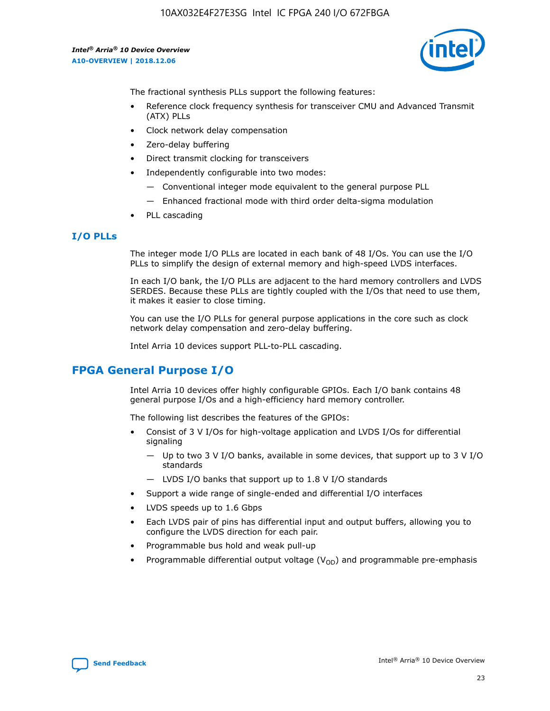

The fractional synthesis PLLs support the following features:

- Reference clock frequency synthesis for transceiver CMU and Advanced Transmit (ATX) PLLs
- Clock network delay compensation
- Zero-delay buffering
- Direct transmit clocking for transceivers
- Independently configurable into two modes:
	- Conventional integer mode equivalent to the general purpose PLL
	- Enhanced fractional mode with third order delta-sigma modulation
- PLL cascading

#### **I/O PLLs**

The integer mode I/O PLLs are located in each bank of 48 I/Os. You can use the I/O PLLs to simplify the design of external memory and high-speed LVDS interfaces.

In each I/O bank, the I/O PLLs are adjacent to the hard memory controllers and LVDS SERDES. Because these PLLs are tightly coupled with the I/Os that need to use them, it makes it easier to close timing.

You can use the I/O PLLs for general purpose applications in the core such as clock network delay compensation and zero-delay buffering.

Intel Arria 10 devices support PLL-to-PLL cascading.

## **FPGA General Purpose I/O**

Intel Arria 10 devices offer highly configurable GPIOs. Each I/O bank contains 48 general purpose I/Os and a high-efficiency hard memory controller.

The following list describes the features of the GPIOs:

- Consist of 3 V I/Os for high-voltage application and LVDS I/Os for differential signaling
	- Up to two 3 V I/O banks, available in some devices, that support up to 3 V I/O standards
	- LVDS I/O banks that support up to 1.8 V I/O standards
- Support a wide range of single-ended and differential I/O interfaces
- LVDS speeds up to 1.6 Gbps
- Each LVDS pair of pins has differential input and output buffers, allowing you to configure the LVDS direction for each pair.
- Programmable bus hold and weak pull-up
- Programmable differential output voltage  $(V_{OD})$  and programmable pre-emphasis

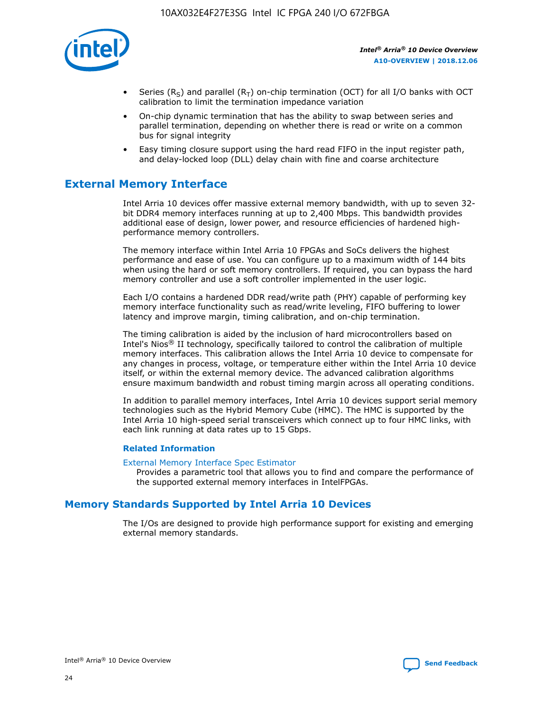

- Series (R<sub>S</sub>) and parallel (R<sub>T</sub>) on-chip termination (OCT) for all I/O banks with OCT calibration to limit the termination impedance variation
- On-chip dynamic termination that has the ability to swap between series and parallel termination, depending on whether there is read or write on a common bus for signal integrity
- Easy timing closure support using the hard read FIFO in the input register path, and delay-locked loop (DLL) delay chain with fine and coarse architecture

## **External Memory Interface**

Intel Arria 10 devices offer massive external memory bandwidth, with up to seven 32 bit DDR4 memory interfaces running at up to 2,400 Mbps. This bandwidth provides additional ease of design, lower power, and resource efficiencies of hardened highperformance memory controllers.

The memory interface within Intel Arria 10 FPGAs and SoCs delivers the highest performance and ease of use. You can configure up to a maximum width of 144 bits when using the hard or soft memory controllers. If required, you can bypass the hard memory controller and use a soft controller implemented in the user logic.

Each I/O contains a hardened DDR read/write path (PHY) capable of performing key memory interface functionality such as read/write leveling, FIFO buffering to lower latency and improve margin, timing calibration, and on-chip termination.

The timing calibration is aided by the inclusion of hard microcontrollers based on Intel's Nios® II technology, specifically tailored to control the calibration of multiple memory interfaces. This calibration allows the Intel Arria 10 device to compensate for any changes in process, voltage, or temperature either within the Intel Arria 10 device itself, or within the external memory device. The advanced calibration algorithms ensure maximum bandwidth and robust timing margin across all operating conditions.

In addition to parallel memory interfaces, Intel Arria 10 devices support serial memory technologies such as the Hybrid Memory Cube (HMC). The HMC is supported by the Intel Arria 10 high-speed serial transceivers which connect up to four HMC links, with each link running at data rates up to 15 Gbps.

#### **Related Information**

#### [External Memory Interface Spec Estimator](http://www.altera.com/technology/memory/estimator/mem-emif-index.html)

Provides a parametric tool that allows you to find and compare the performance of the supported external memory interfaces in IntelFPGAs.

## **Memory Standards Supported by Intel Arria 10 Devices**

The I/Os are designed to provide high performance support for existing and emerging external memory standards.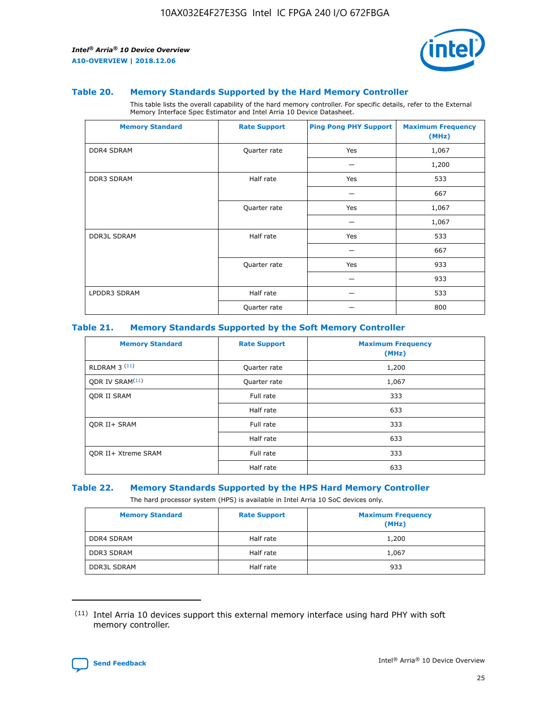

#### **Table 20. Memory Standards Supported by the Hard Memory Controller**

This table lists the overall capability of the hard memory controller. For specific details, refer to the External Memory Interface Spec Estimator and Intel Arria 10 Device Datasheet.

| <b>Memory Standard</b> | <b>Rate Support</b> | <b>Ping Pong PHY Support</b> | <b>Maximum Frequency</b><br>(MHz) |
|------------------------|---------------------|------------------------------|-----------------------------------|
| <b>DDR4 SDRAM</b>      | Quarter rate        | Yes                          | 1,067                             |
|                        |                     |                              | 1,200                             |
| DDR3 SDRAM             | Half rate           | Yes                          | 533                               |
|                        |                     |                              | 667                               |
|                        | Quarter rate        | Yes                          | 1,067                             |
|                        |                     |                              | 1,067                             |
| <b>DDR3L SDRAM</b>     | Half rate           | Yes                          | 533                               |
|                        |                     |                              | 667                               |
|                        | Quarter rate        | Yes                          | 933                               |
|                        |                     |                              | 933                               |
| LPDDR3 SDRAM           | Half rate           |                              | 533                               |
|                        | Quarter rate        |                              | 800                               |

#### **Table 21. Memory Standards Supported by the Soft Memory Controller**

| <b>Memory Standard</b>      | <b>Rate Support</b> | <b>Maximum Frequency</b><br>(MHz) |
|-----------------------------|---------------------|-----------------------------------|
| <b>RLDRAM 3 (11)</b>        | Quarter rate        | 1,200                             |
| ODR IV SRAM <sup>(11)</sup> | Quarter rate        | 1,067                             |
| <b>ODR II SRAM</b>          | Full rate           | 333                               |
|                             | Half rate           | 633                               |
| <b>ODR II+ SRAM</b>         | Full rate           | 333                               |
|                             | Half rate           | 633                               |
| <b>ODR II+ Xtreme SRAM</b>  | Full rate           | 333                               |
|                             | Half rate           | 633                               |

#### **Table 22. Memory Standards Supported by the HPS Hard Memory Controller**

The hard processor system (HPS) is available in Intel Arria 10 SoC devices only.

| <b>Memory Standard</b> | <b>Rate Support</b> | <b>Maximum Frequency</b><br>(MHz) |
|------------------------|---------------------|-----------------------------------|
| <b>DDR4 SDRAM</b>      | Half rate           | 1,200                             |
| <b>DDR3 SDRAM</b>      | Half rate           | 1,067                             |
| <b>DDR3L SDRAM</b>     | Half rate           | 933                               |

<sup>(11)</sup> Intel Arria 10 devices support this external memory interface using hard PHY with soft memory controller.

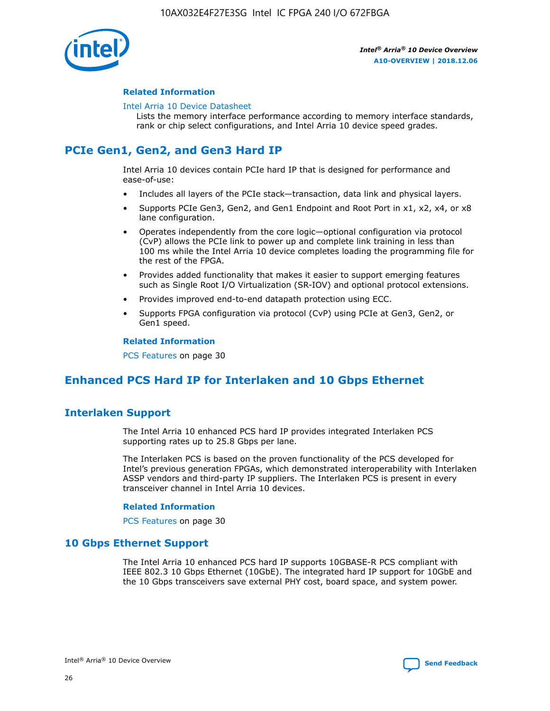

#### **Related Information**

#### [Intel Arria 10 Device Datasheet](https://www.intel.com/content/www/us/en/programmable/documentation/mcn1413182292568.html#mcn1413182153340)

Lists the memory interface performance according to memory interface standards, rank or chip select configurations, and Intel Arria 10 device speed grades.

## **PCIe Gen1, Gen2, and Gen3 Hard IP**

Intel Arria 10 devices contain PCIe hard IP that is designed for performance and ease-of-use:

- Includes all layers of the PCIe stack—transaction, data link and physical layers.
- Supports PCIe Gen3, Gen2, and Gen1 Endpoint and Root Port in x1, x2, x4, or x8 lane configuration.
- Operates independently from the core logic—optional configuration via protocol (CvP) allows the PCIe link to power up and complete link training in less than 100 ms while the Intel Arria 10 device completes loading the programming file for the rest of the FPGA.
- Provides added functionality that makes it easier to support emerging features such as Single Root I/O Virtualization (SR-IOV) and optional protocol extensions.
- Provides improved end-to-end datapath protection using ECC.
- Supports FPGA configuration via protocol (CvP) using PCIe at Gen3, Gen2, or Gen1 speed.

#### **Related Information**

PCS Features on page 30

## **Enhanced PCS Hard IP for Interlaken and 10 Gbps Ethernet**

## **Interlaken Support**

The Intel Arria 10 enhanced PCS hard IP provides integrated Interlaken PCS supporting rates up to 25.8 Gbps per lane.

The Interlaken PCS is based on the proven functionality of the PCS developed for Intel's previous generation FPGAs, which demonstrated interoperability with Interlaken ASSP vendors and third-party IP suppliers. The Interlaken PCS is present in every transceiver channel in Intel Arria 10 devices.

#### **Related Information**

PCS Features on page 30

#### **10 Gbps Ethernet Support**

The Intel Arria 10 enhanced PCS hard IP supports 10GBASE-R PCS compliant with IEEE 802.3 10 Gbps Ethernet (10GbE). The integrated hard IP support for 10GbE and the 10 Gbps transceivers save external PHY cost, board space, and system power.

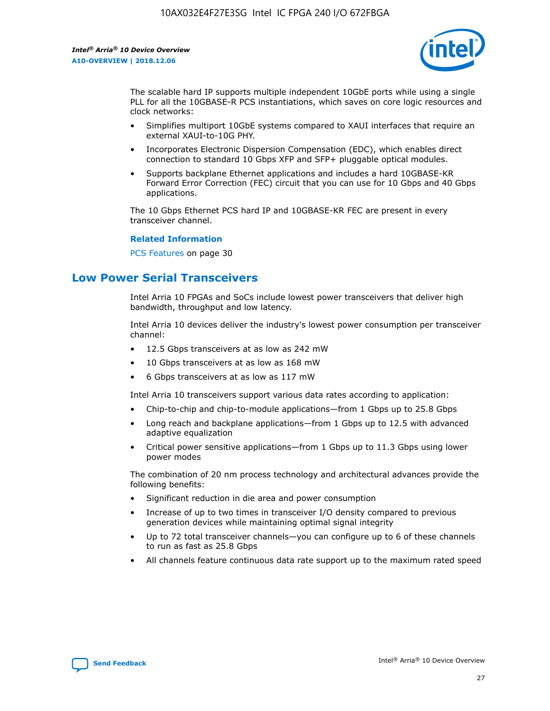

The scalable hard IP supports multiple independent 10GbE ports while using a single PLL for all the 10GBASE-R PCS instantiations, which saves on core logic resources and clock networks:

- Simplifies multiport 10GbE systems compared to XAUI interfaces that require an external XAUI-to-10G PHY.
- Incorporates Electronic Dispersion Compensation (EDC), which enables direct connection to standard 10 Gbps XFP and SFP+ pluggable optical modules.
- Supports backplane Ethernet applications and includes a hard 10GBASE-KR Forward Error Correction (FEC) circuit that you can use for 10 Gbps and 40 Gbps applications.

The 10 Gbps Ethernet PCS hard IP and 10GBASE-KR FEC are present in every transceiver channel.

#### **Related Information**

PCS Features on page 30

## **Low Power Serial Transceivers**

Intel Arria 10 FPGAs and SoCs include lowest power transceivers that deliver high bandwidth, throughput and low latency.

Intel Arria 10 devices deliver the industry's lowest power consumption per transceiver channel:

- 12.5 Gbps transceivers at as low as 242 mW
- 10 Gbps transceivers at as low as 168 mW
- 6 Gbps transceivers at as low as 117 mW

Intel Arria 10 transceivers support various data rates according to application:

- Chip-to-chip and chip-to-module applications—from 1 Gbps up to 25.8 Gbps
- Long reach and backplane applications—from 1 Gbps up to 12.5 with advanced adaptive equalization
- Critical power sensitive applications—from 1 Gbps up to 11.3 Gbps using lower power modes

The combination of 20 nm process technology and architectural advances provide the following benefits:

- Significant reduction in die area and power consumption
- Increase of up to two times in transceiver I/O density compared to previous generation devices while maintaining optimal signal integrity
- Up to 72 total transceiver channels—you can configure up to 6 of these channels to run as fast as 25.8 Gbps
- All channels feature continuous data rate support up to the maximum rated speed

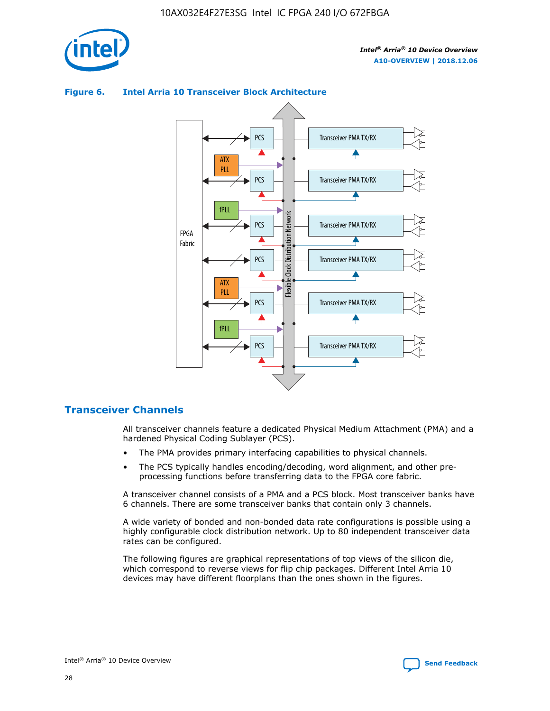

#### Transceiver PMA TX/RX PCS ATX PLL Transceiver PMA TX/RX PCS fPLL Network Flexible Clock Distribution Network PCS Transceiver PMA TX/RX FPGA **Clock Distribution** Fabric PCS Transceiver PMA TX/RX ATX Flexible PLL PCS Transceiver PMA TX/RX ▲ fPLL Transceiver PMA TX/RX PCS 4

#### **Figure 6. Intel Arria 10 Transceiver Block Architecture**

#### **Transceiver Channels**

All transceiver channels feature a dedicated Physical Medium Attachment (PMA) and a hardened Physical Coding Sublayer (PCS).

- The PMA provides primary interfacing capabilities to physical channels.
- The PCS typically handles encoding/decoding, word alignment, and other preprocessing functions before transferring data to the FPGA core fabric.

A transceiver channel consists of a PMA and a PCS block. Most transceiver banks have 6 channels. There are some transceiver banks that contain only 3 channels.

A wide variety of bonded and non-bonded data rate configurations is possible using a highly configurable clock distribution network. Up to 80 independent transceiver data rates can be configured.

The following figures are graphical representations of top views of the silicon die, which correspond to reverse views for flip chip packages. Different Intel Arria 10 devices may have different floorplans than the ones shown in the figures.

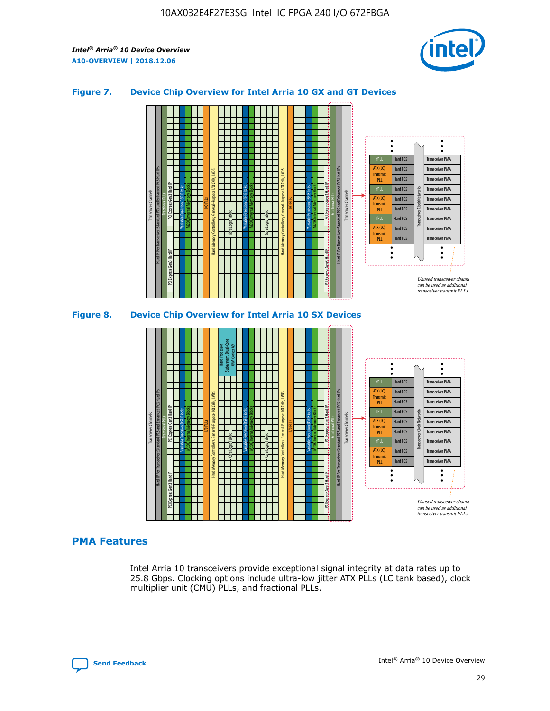

#### **Figure 7. Device Chip Overview for Intel Arria 10 GX and GT Devices**



#### **PMA Features**

Intel Arria 10 transceivers provide exceptional signal integrity at data rates up to 25.8 Gbps. Clocking options include ultra-low jitter ATX PLLs (LC tank based), clock multiplier unit (CMU) PLLs, and fractional PLLs.

Hard PCS Hard PCS Hard PCS Hard PCS

Transmi PLL fPLL ATX (LC) **Transmit** PLL

Transceiver PMA Transceiver PMA

Transceiver PMA Transceiver PMA

Unused transceiver chann can be used as additional transceiver transmit PLLs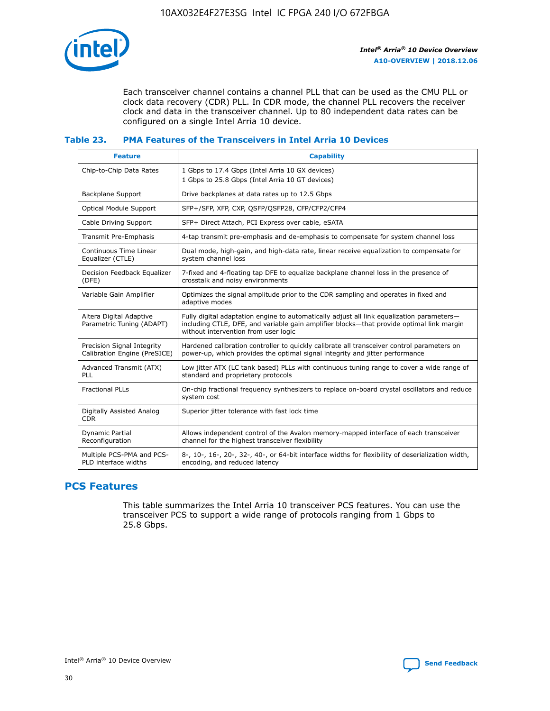

Each transceiver channel contains a channel PLL that can be used as the CMU PLL or clock data recovery (CDR) PLL. In CDR mode, the channel PLL recovers the receiver clock and data in the transceiver channel. Up to 80 independent data rates can be configured on a single Intel Arria 10 device.

#### **Table 23. PMA Features of the Transceivers in Intel Arria 10 Devices**

| <b>Feature</b>                                             | <b>Capability</b>                                                                                                                                                                                                             |
|------------------------------------------------------------|-------------------------------------------------------------------------------------------------------------------------------------------------------------------------------------------------------------------------------|
| Chip-to-Chip Data Rates                                    | 1 Gbps to 17.4 Gbps (Intel Arria 10 GX devices)<br>1 Gbps to 25.8 Gbps (Intel Arria 10 GT devices)                                                                                                                            |
| Backplane Support                                          | Drive backplanes at data rates up to 12.5 Gbps                                                                                                                                                                                |
| <b>Optical Module Support</b>                              | SFP+/SFP, XFP, CXP, QSFP/QSFP28, CFP/CFP2/CFP4                                                                                                                                                                                |
| Cable Driving Support                                      | SFP+ Direct Attach, PCI Express over cable, eSATA                                                                                                                                                                             |
| Transmit Pre-Emphasis                                      | 4-tap transmit pre-emphasis and de-emphasis to compensate for system channel loss                                                                                                                                             |
| Continuous Time Linear<br>Equalizer (CTLE)                 | Dual mode, high-gain, and high-data rate, linear receive equalization to compensate for<br>system channel loss                                                                                                                |
| Decision Feedback Equalizer<br>(DFE)                       | 7-fixed and 4-floating tap DFE to equalize backplane channel loss in the presence of<br>crosstalk and noisy environments                                                                                                      |
| Variable Gain Amplifier                                    | Optimizes the signal amplitude prior to the CDR sampling and operates in fixed and<br>adaptive modes                                                                                                                          |
| Altera Digital Adaptive<br>Parametric Tuning (ADAPT)       | Fully digital adaptation engine to automatically adjust all link equalization parameters-<br>including CTLE, DFE, and variable gain amplifier blocks—that provide optimal link margin<br>without intervention from user logic |
| Precision Signal Integrity<br>Calibration Engine (PreSICE) | Hardened calibration controller to quickly calibrate all transceiver control parameters on<br>power-up, which provides the optimal signal integrity and jitter performance                                                    |
| Advanced Transmit (ATX)<br>PLL                             | Low jitter ATX (LC tank based) PLLs with continuous tuning range to cover a wide range of<br>standard and proprietary protocols                                                                                               |
| <b>Fractional PLLs</b>                                     | On-chip fractional frequency synthesizers to replace on-board crystal oscillators and reduce<br>system cost                                                                                                                   |
| Digitally Assisted Analog<br><b>CDR</b>                    | Superior jitter tolerance with fast lock time                                                                                                                                                                                 |
| Dynamic Partial<br>Reconfiguration                         | Allows independent control of the Avalon memory-mapped interface of each transceiver<br>channel for the highest transceiver flexibility                                                                                       |
| Multiple PCS-PMA and PCS-<br>PLD interface widths          | 8-, 10-, 16-, 20-, 32-, 40-, or 64-bit interface widths for flexibility of deserialization width,<br>encoding, and reduced latency                                                                                            |

## **PCS Features**

This table summarizes the Intel Arria 10 transceiver PCS features. You can use the transceiver PCS to support a wide range of protocols ranging from 1 Gbps to 25.8 Gbps.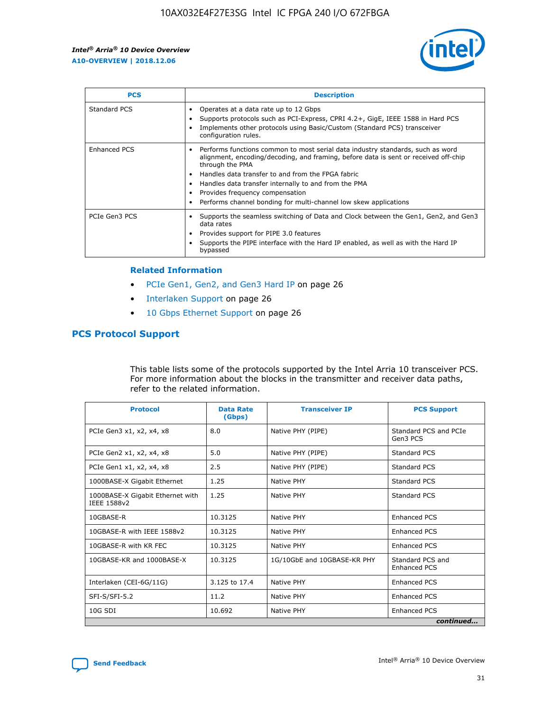

| <b>PCS</b>          | <b>Description</b>                                                                                                                                                                                                                                                                                                                                                                                             |
|---------------------|----------------------------------------------------------------------------------------------------------------------------------------------------------------------------------------------------------------------------------------------------------------------------------------------------------------------------------------------------------------------------------------------------------------|
| Standard PCS        | Operates at a data rate up to 12 Gbps<br>Supports protocols such as PCI-Express, CPRI 4.2+, GigE, IEEE 1588 in Hard PCS<br>Implements other protocols using Basic/Custom (Standard PCS) transceiver<br>configuration rules.                                                                                                                                                                                    |
| <b>Enhanced PCS</b> | Performs functions common to most serial data industry standards, such as word<br>alignment, encoding/decoding, and framing, before data is sent or received off-chip<br>through the PMA<br>• Handles data transfer to and from the FPGA fabric<br>Handles data transfer internally to and from the PMA<br>Provides frequency compensation<br>Performs channel bonding for multi-channel low skew applications |
| PCIe Gen3 PCS       | Supports the seamless switching of Data and Clock between the Gen1, Gen2, and Gen3<br>data rates<br>Provides support for PIPE 3.0 features<br>Supports the PIPE interface with the Hard IP enabled, as well as with the Hard IP<br>bypassed                                                                                                                                                                    |

#### **Related Information**

- PCIe Gen1, Gen2, and Gen3 Hard IP on page 26
- Interlaken Support on page 26
- 10 Gbps Ethernet Support on page 26

#### **PCS Protocol Support**

This table lists some of the protocols supported by the Intel Arria 10 transceiver PCS. For more information about the blocks in the transmitter and receiver data paths, refer to the related information.

| <b>Protocol</b>                                 | <b>Data Rate</b><br>(Gbps) | <b>Transceiver IP</b>       | <b>PCS Support</b>                      |
|-------------------------------------------------|----------------------------|-----------------------------|-----------------------------------------|
| PCIe Gen3 x1, x2, x4, x8                        | 8.0                        | Native PHY (PIPE)           | Standard PCS and PCIe<br>Gen3 PCS       |
| PCIe Gen2 x1, x2, x4, x8                        | 5.0                        | Native PHY (PIPE)           | <b>Standard PCS</b>                     |
| PCIe Gen1 x1, x2, x4, x8                        | 2.5                        | Native PHY (PIPE)           | Standard PCS                            |
| 1000BASE-X Gigabit Ethernet                     | 1.25                       | Native PHY                  | <b>Standard PCS</b>                     |
| 1000BASE-X Gigabit Ethernet with<br>IEEE 1588v2 | 1.25                       | Native PHY                  | Standard PCS                            |
| 10GBASE-R                                       | 10.3125                    | Native PHY                  | <b>Enhanced PCS</b>                     |
| 10GBASE-R with IEEE 1588v2                      | 10.3125                    | Native PHY                  | <b>Enhanced PCS</b>                     |
| 10GBASE-R with KR FEC                           | 10.3125                    | Native PHY                  | <b>Enhanced PCS</b>                     |
| 10GBASE-KR and 1000BASE-X                       | 10.3125                    | 1G/10GbE and 10GBASE-KR PHY | Standard PCS and<br><b>Enhanced PCS</b> |
| Interlaken (CEI-6G/11G)                         | 3.125 to 17.4              | Native PHY                  | <b>Enhanced PCS</b>                     |
| SFI-S/SFI-5.2                                   | 11.2                       | Native PHY                  | <b>Enhanced PCS</b>                     |
| $10G$ SDI                                       | 10.692                     | Native PHY                  | <b>Enhanced PCS</b>                     |
|                                                 |                            |                             | continued                               |

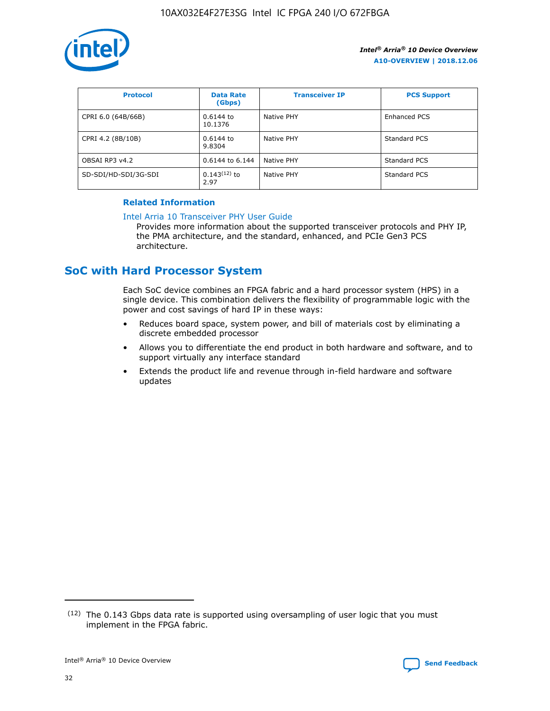

| <b>Protocol</b>      | <b>Data Rate</b><br>(Gbps) | <b>Transceiver IP</b> | <b>PCS Support</b> |
|----------------------|----------------------------|-----------------------|--------------------|
| CPRI 6.0 (64B/66B)   | 0.6144 to<br>10.1376       | Native PHY            | Enhanced PCS       |
| CPRI 4.2 (8B/10B)    | 0.6144 to<br>9.8304        | Native PHY            | Standard PCS       |
| OBSAI RP3 v4.2       | 0.6144 to 6.144            | Native PHY            | Standard PCS       |
| SD-SDI/HD-SDI/3G-SDI | $0.143(12)$ to<br>2.97     | Native PHY            | Standard PCS       |

#### **Related Information**

#### [Intel Arria 10 Transceiver PHY User Guide](https://www.intel.com/content/www/us/en/programmable/documentation/nik1398707230472.html#nik1398707091164)

Provides more information about the supported transceiver protocols and PHY IP, the PMA architecture, and the standard, enhanced, and PCIe Gen3 PCS architecture.

## **SoC with Hard Processor System**

Each SoC device combines an FPGA fabric and a hard processor system (HPS) in a single device. This combination delivers the flexibility of programmable logic with the power and cost savings of hard IP in these ways:

- Reduces board space, system power, and bill of materials cost by eliminating a discrete embedded processor
- Allows you to differentiate the end product in both hardware and software, and to support virtually any interface standard
- Extends the product life and revenue through in-field hardware and software updates

 $(12)$  The 0.143 Gbps data rate is supported using oversampling of user logic that you must implement in the FPGA fabric.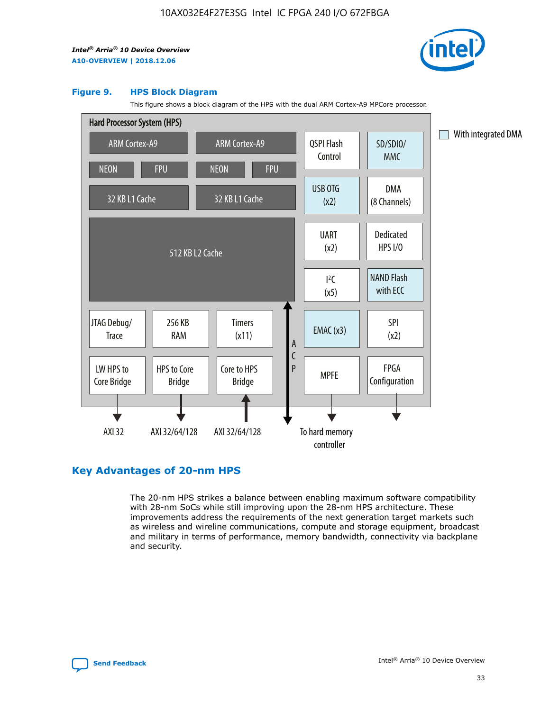

#### **Figure 9. HPS Block Diagram**

This figure shows a block diagram of the HPS with the dual ARM Cortex-A9 MPCore processor.



## **Key Advantages of 20-nm HPS**

The 20-nm HPS strikes a balance between enabling maximum software compatibility with 28-nm SoCs while still improving upon the 28-nm HPS architecture. These improvements address the requirements of the next generation target markets such as wireless and wireline communications, compute and storage equipment, broadcast and military in terms of performance, memory bandwidth, connectivity via backplane and security.

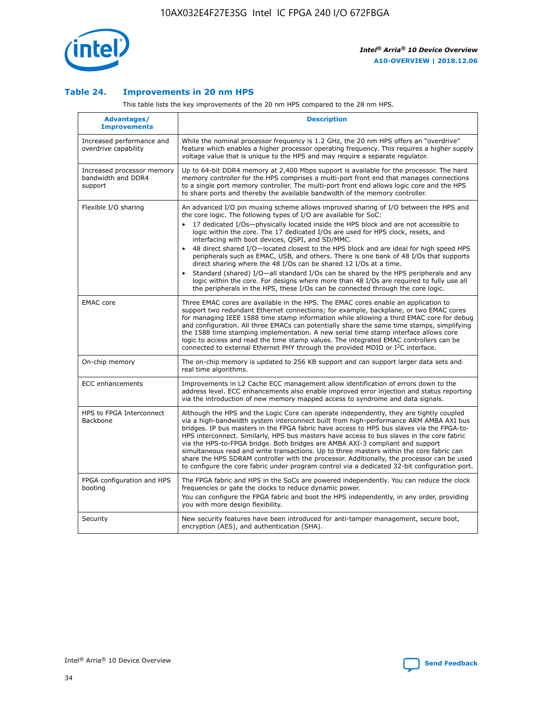

#### **Table 24. Improvements in 20 nm HPS**

This table lists the key improvements of the 20 nm HPS compared to the 28 nm HPS.

| Advantages/<br><b>Improvements</b>                          | <b>Description</b>                                                                                                                                                                                                                                                                                                                                                                                                                                                                                                                                                                                                                                                                                                                                                                                                                                                                                                      |
|-------------------------------------------------------------|-------------------------------------------------------------------------------------------------------------------------------------------------------------------------------------------------------------------------------------------------------------------------------------------------------------------------------------------------------------------------------------------------------------------------------------------------------------------------------------------------------------------------------------------------------------------------------------------------------------------------------------------------------------------------------------------------------------------------------------------------------------------------------------------------------------------------------------------------------------------------------------------------------------------------|
| Increased performance and<br>overdrive capability           | While the nominal processor frequency is 1.2 GHz, the 20 nm HPS offers an "overdrive"<br>feature which enables a higher processor operating frequency. This requires a higher supply<br>voltage value that is unique to the HPS and may require a separate regulator.                                                                                                                                                                                                                                                                                                                                                                                                                                                                                                                                                                                                                                                   |
| Increased processor memory<br>bandwidth and DDR4<br>support | Up to 64-bit DDR4 memory at 2,400 Mbps support is available for the processor. The hard<br>memory controller for the HPS comprises a multi-port front end that manages connections<br>to a single port memory controller. The multi-port front end allows logic core and the HPS<br>to share ports and thereby the available bandwidth of the memory controller.                                                                                                                                                                                                                                                                                                                                                                                                                                                                                                                                                        |
| Flexible I/O sharing                                        | An advanced I/O pin muxing scheme allows improved sharing of I/O between the HPS and<br>the core logic. The following types of I/O are available for SoC:<br>17 dedicated I/Os-physically located inside the HPS block and are not accessible to<br>logic within the core. The 17 dedicated I/Os are used for HPS clock, resets, and<br>interfacing with boot devices, QSPI, and SD/MMC.<br>48 direct shared I/O-located closest to the HPS block and are ideal for high speed HPS<br>peripherals such as EMAC, USB, and others. There is one bank of 48 I/Os that supports<br>direct sharing where the 48 I/Os can be shared 12 I/Os at a time.<br>Standard (shared) I/O-all standard I/Os can be shared by the HPS peripherals and any<br>logic within the core. For designs where more than 48 I/Os are reguired to fully use all<br>the peripherals in the HPS, these I/Os can be connected through the core logic. |
| <b>EMAC</b> core                                            | Three EMAC cores are available in the HPS. The EMAC cores enable an application to<br>support two redundant Ethernet connections; for example, backplane, or two EMAC cores<br>for managing IEEE 1588 time stamp information while allowing a third EMAC core for debug<br>and configuration. All three EMACs can potentially share the same time stamps, simplifying<br>the 1588 time stamping implementation. A new serial time stamp interface allows core<br>logic to access and read the time stamp values. The integrated EMAC controllers can be<br>connected to external Ethernet PHY through the provided MDIO or I <sup>2</sup> C interface.                                                                                                                                                                                                                                                                  |
| On-chip memory                                              | The on-chip memory is updated to 256 KB support and can support larger data sets and<br>real time algorithms.                                                                                                                                                                                                                                                                                                                                                                                                                                                                                                                                                                                                                                                                                                                                                                                                           |
| <b>ECC</b> enhancements                                     | Improvements in L2 Cache ECC management allow identification of errors down to the<br>address level. ECC enhancements also enable improved error injection and status reporting<br>via the introduction of new memory mapped access to syndrome and data signals.                                                                                                                                                                                                                                                                                                                                                                                                                                                                                                                                                                                                                                                       |
| HPS to FPGA Interconnect<br>Backbone                        | Although the HPS and the Logic Core can operate independently, they are tightly coupled<br>via a high-bandwidth system interconnect built from high-performance ARM AMBA AXI bus<br>bridges. IP bus masters in the FPGA fabric have access to HPS bus slaves via the FPGA-to-<br>HPS interconnect. Similarly, HPS bus masters have access to bus slaves in the core fabric<br>via the HPS-to-FPGA bridge. Both bridges are AMBA AXI-3 compliant and support<br>simultaneous read and write transactions. Up to three masters within the core fabric can<br>share the HPS SDRAM controller with the processor. Additionally, the processor can be used<br>to configure the core fabric under program control via a dedicated 32-bit configuration port.                                                                                                                                                                  |
| FPGA configuration and HPS<br>booting                       | The FPGA fabric and HPS in the SoCs are powered independently. You can reduce the clock<br>frequencies or gate the clocks to reduce dynamic power.<br>You can configure the FPGA fabric and boot the HPS independently, in any order, providing<br>you with more design flexibility.                                                                                                                                                                                                                                                                                                                                                                                                                                                                                                                                                                                                                                    |
| Security                                                    | New security features have been introduced for anti-tamper management, secure boot,<br>encryption (AES), and authentication (SHA).                                                                                                                                                                                                                                                                                                                                                                                                                                                                                                                                                                                                                                                                                                                                                                                      |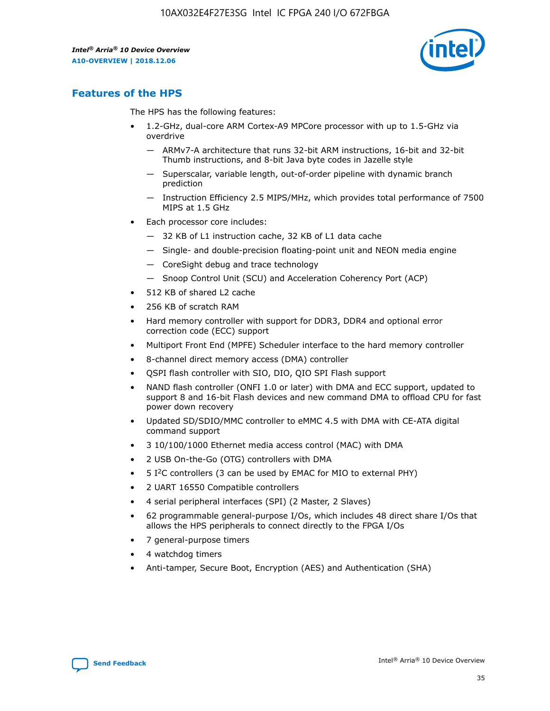

## **Features of the HPS**

The HPS has the following features:

- 1.2-GHz, dual-core ARM Cortex-A9 MPCore processor with up to 1.5-GHz via overdrive
	- ARMv7-A architecture that runs 32-bit ARM instructions, 16-bit and 32-bit Thumb instructions, and 8-bit Java byte codes in Jazelle style
	- Superscalar, variable length, out-of-order pipeline with dynamic branch prediction
	- Instruction Efficiency 2.5 MIPS/MHz, which provides total performance of 7500 MIPS at 1.5 GHz
- Each processor core includes:
	- 32 KB of L1 instruction cache, 32 KB of L1 data cache
	- Single- and double-precision floating-point unit and NEON media engine
	- CoreSight debug and trace technology
	- Snoop Control Unit (SCU) and Acceleration Coherency Port (ACP)
- 512 KB of shared L2 cache
- 256 KB of scratch RAM
- Hard memory controller with support for DDR3, DDR4 and optional error correction code (ECC) support
- Multiport Front End (MPFE) Scheduler interface to the hard memory controller
- 8-channel direct memory access (DMA) controller
- QSPI flash controller with SIO, DIO, QIO SPI Flash support
- NAND flash controller (ONFI 1.0 or later) with DMA and ECC support, updated to support 8 and 16-bit Flash devices and new command DMA to offload CPU for fast power down recovery
- Updated SD/SDIO/MMC controller to eMMC 4.5 with DMA with CE-ATA digital command support
- 3 10/100/1000 Ethernet media access control (MAC) with DMA
- 2 USB On-the-Go (OTG) controllers with DMA
- $\bullet$  5 I<sup>2</sup>C controllers (3 can be used by EMAC for MIO to external PHY)
- 2 UART 16550 Compatible controllers
- 4 serial peripheral interfaces (SPI) (2 Master, 2 Slaves)
- 62 programmable general-purpose I/Os, which includes 48 direct share I/Os that allows the HPS peripherals to connect directly to the FPGA I/Os
- 7 general-purpose timers
- 4 watchdog timers
- Anti-tamper, Secure Boot, Encryption (AES) and Authentication (SHA)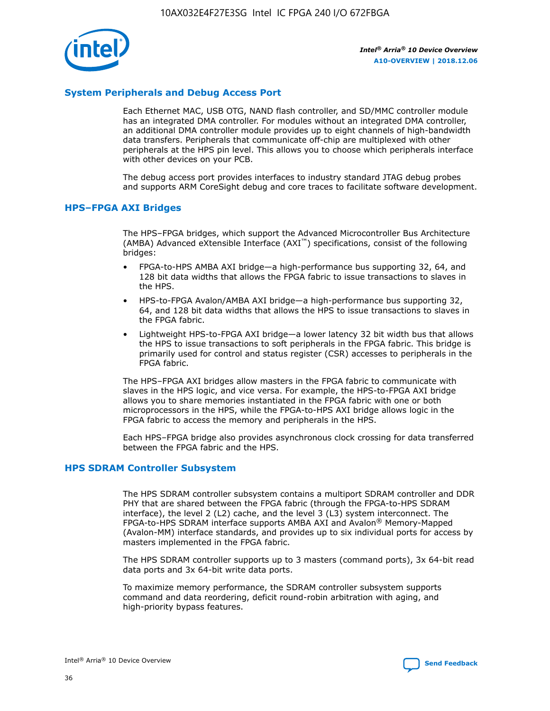

#### **System Peripherals and Debug Access Port**

Each Ethernet MAC, USB OTG, NAND flash controller, and SD/MMC controller module has an integrated DMA controller. For modules without an integrated DMA controller, an additional DMA controller module provides up to eight channels of high-bandwidth data transfers. Peripherals that communicate off-chip are multiplexed with other peripherals at the HPS pin level. This allows you to choose which peripherals interface with other devices on your PCB.

The debug access port provides interfaces to industry standard JTAG debug probes and supports ARM CoreSight debug and core traces to facilitate software development.

#### **HPS–FPGA AXI Bridges**

The HPS–FPGA bridges, which support the Advanced Microcontroller Bus Architecture (AMBA) Advanced eXtensible Interface (AXI™) specifications, consist of the following bridges:

- FPGA-to-HPS AMBA AXI bridge—a high-performance bus supporting 32, 64, and 128 bit data widths that allows the FPGA fabric to issue transactions to slaves in the HPS.
- HPS-to-FPGA Avalon/AMBA AXI bridge—a high-performance bus supporting 32, 64, and 128 bit data widths that allows the HPS to issue transactions to slaves in the FPGA fabric.
- Lightweight HPS-to-FPGA AXI bridge—a lower latency 32 bit width bus that allows the HPS to issue transactions to soft peripherals in the FPGA fabric. This bridge is primarily used for control and status register (CSR) accesses to peripherals in the FPGA fabric.

The HPS–FPGA AXI bridges allow masters in the FPGA fabric to communicate with slaves in the HPS logic, and vice versa. For example, the HPS-to-FPGA AXI bridge allows you to share memories instantiated in the FPGA fabric with one or both microprocessors in the HPS, while the FPGA-to-HPS AXI bridge allows logic in the FPGA fabric to access the memory and peripherals in the HPS.

Each HPS–FPGA bridge also provides asynchronous clock crossing for data transferred between the FPGA fabric and the HPS.

#### **HPS SDRAM Controller Subsystem**

The HPS SDRAM controller subsystem contains a multiport SDRAM controller and DDR PHY that are shared between the FPGA fabric (through the FPGA-to-HPS SDRAM interface), the level 2 (L2) cache, and the level 3 (L3) system interconnect. The FPGA-to-HPS SDRAM interface supports AMBA AXI and Avalon® Memory-Mapped (Avalon-MM) interface standards, and provides up to six individual ports for access by masters implemented in the FPGA fabric.

The HPS SDRAM controller supports up to 3 masters (command ports), 3x 64-bit read data ports and 3x 64-bit write data ports.

To maximize memory performance, the SDRAM controller subsystem supports command and data reordering, deficit round-robin arbitration with aging, and high-priority bypass features.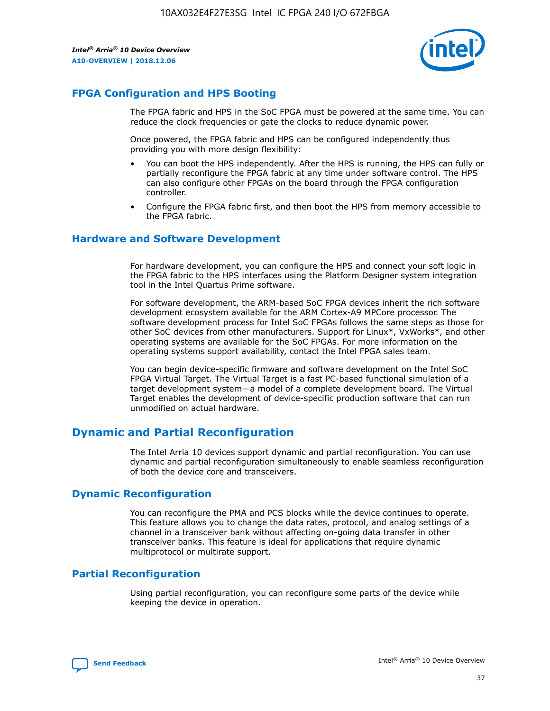

## **FPGA Configuration and HPS Booting**

The FPGA fabric and HPS in the SoC FPGA must be powered at the same time. You can reduce the clock frequencies or gate the clocks to reduce dynamic power.

Once powered, the FPGA fabric and HPS can be configured independently thus providing you with more design flexibility:

- You can boot the HPS independently. After the HPS is running, the HPS can fully or partially reconfigure the FPGA fabric at any time under software control. The HPS can also configure other FPGAs on the board through the FPGA configuration controller.
- Configure the FPGA fabric first, and then boot the HPS from memory accessible to the FPGA fabric.

#### **Hardware and Software Development**

For hardware development, you can configure the HPS and connect your soft logic in the FPGA fabric to the HPS interfaces using the Platform Designer system integration tool in the Intel Quartus Prime software.

For software development, the ARM-based SoC FPGA devices inherit the rich software development ecosystem available for the ARM Cortex-A9 MPCore processor. The software development process for Intel SoC FPGAs follows the same steps as those for other SoC devices from other manufacturers. Support for Linux\*, VxWorks\*, and other operating systems are available for the SoC FPGAs. For more information on the operating systems support availability, contact the Intel FPGA sales team.

You can begin device-specific firmware and software development on the Intel SoC FPGA Virtual Target. The Virtual Target is a fast PC-based functional simulation of a target development system—a model of a complete development board. The Virtual Target enables the development of device-specific production software that can run unmodified on actual hardware.

## **Dynamic and Partial Reconfiguration**

The Intel Arria 10 devices support dynamic and partial reconfiguration. You can use dynamic and partial reconfiguration simultaneously to enable seamless reconfiguration of both the device core and transceivers.

## **Dynamic Reconfiguration**

You can reconfigure the PMA and PCS blocks while the device continues to operate. This feature allows you to change the data rates, protocol, and analog settings of a channel in a transceiver bank without affecting on-going data transfer in other transceiver banks. This feature is ideal for applications that require dynamic multiprotocol or multirate support.

## **Partial Reconfiguration**

Using partial reconfiguration, you can reconfigure some parts of the device while keeping the device in operation.

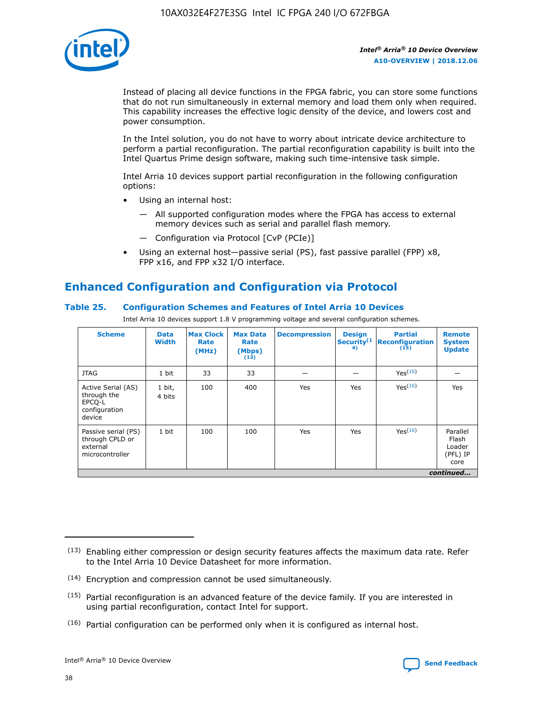

Instead of placing all device functions in the FPGA fabric, you can store some functions that do not run simultaneously in external memory and load them only when required. This capability increases the effective logic density of the device, and lowers cost and power consumption.

In the Intel solution, you do not have to worry about intricate device architecture to perform a partial reconfiguration. The partial reconfiguration capability is built into the Intel Quartus Prime design software, making such time-intensive task simple.

Intel Arria 10 devices support partial reconfiguration in the following configuration options:

- Using an internal host:
	- All supported configuration modes where the FPGA has access to external memory devices such as serial and parallel flash memory.
	- Configuration via Protocol [CvP (PCIe)]
- Using an external host—passive serial (PS), fast passive parallel (FPP) x8, FPP x16, and FPP x32 I/O interface.

## **Enhanced Configuration and Configuration via Protocol**

#### **Table 25. Configuration Schemes and Features of Intel Arria 10 Devices**

Intel Arria 10 devices support 1.8 V programming voltage and several configuration schemes.

| <b>Scheme</b>                                                          | <b>Data</b><br><b>Width</b> | <b>Max Clock</b><br>Rate<br>(MHz) | <b>Max Data</b><br>Rate<br>(Mbps)<br>(13) | <b>Decompression</b> | <b>Design</b><br>Security <sup>(1</sup><br>4) | <b>Partial</b><br>Reconfiguration<br>(15) | <b>Remote</b><br><b>System</b><br><b>Update</b> |
|------------------------------------------------------------------------|-----------------------------|-----------------------------------|-------------------------------------------|----------------------|-----------------------------------------------|-------------------------------------------|-------------------------------------------------|
| <b>JTAG</b>                                                            | 1 bit                       | 33                                | 33                                        |                      |                                               | Yes(16)                                   |                                                 |
| Active Serial (AS)<br>through the<br>EPCO-L<br>configuration<br>device | 1 bit,<br>4 bits            | 100                               | 400                                       | Yes                  | Yes                                           | Yes(16)                                   | Yes                                             |
| Passive serial (PS)<br>through CPLD or<br>external<br>microcontroller  | 1 bit                       | 100                               | 100                                       | Yes                  | Yes                                           | Yes <sup>(16)</sup>                       | Parallel<br>Flash<br>Loader<br>(PFL) IP<br>core |
|                                                                        |                             |                                   |                                           |                      |                                               |                                           | continued                                       |

<sup>(13)</sup> Enabling either compression or design security features affects the maximum data rate. Refer to the Intel Arria 10 Device Datasheet for more information.

<sup>(14)</sup> Encryption and compression cannot be used simultaneously.

 $(15)$  Partial reconfiguration is an advanced feature of the device family. If you are interested in using partial reconfiguration, contact Intel for support.

 $(16)$  Partial configuration can be performed only when it is configured as internal host.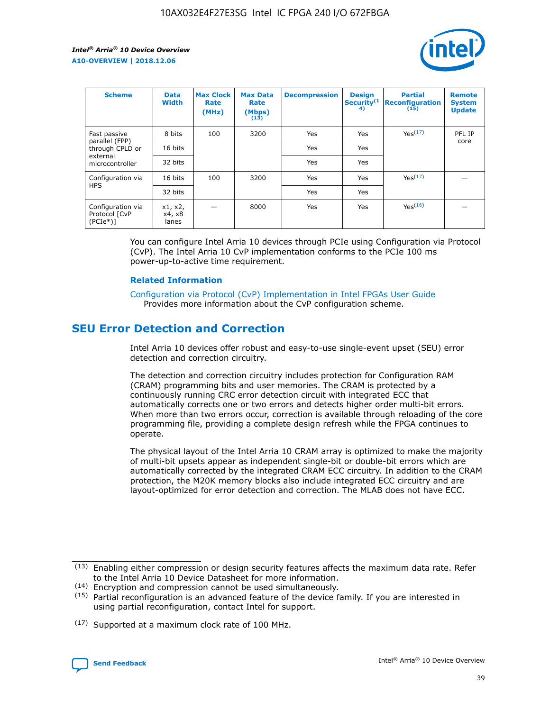

| <b>Scheme</b>                                   | <b>Data</b><br><b>Width</b> | <b>Max Clock</b><br>Rate<br>(MHz) | <b>Max Data</b><br>Rate<br>(Mbps)<br>(13) | <b>Decompression</b> | <b>Design</b><br>Security <sup>(1</sup><br>4) | <b>Partial</b><br><b>Reconfiguration</b><br>(15) | <b>Remote</b><br><b>System</b><br><b>Update</b> |
|-------------------------------------------------|-----------------------------|-----------------------------------|-------------------------------------------|----------------------|-----------------------------------------------|--------------------------------------------------|-------------------------------------------------|
| Fast passive                                    | 8 bits                      | 100                               | 3200                                      | Yes                  | Yes                                           | Yes(17)                                          | PFL IP                                          |
| parallel (FPP)<br>through CPLD or               | 16 bits                     |                                   |                                           | Yes                  | Yes                                           |                                                  | core                                            |
| external<br>microcontroller                     | 32 bits                     |                                   |                                           | Yes                  | Yes                                           |                                                  |                                                 |
| Configuration via                               | 16 bits                     | 100                               | 3200                                      | Yes                  | Yes                                           | Yes <sup>(17)</sup>                              |                                                 |
| <b>HPS</b>                                      | 32 bits                     |                                   |                                           | Yes                  | Yes                                           |                                                  |                                                 |
| Configuration via<br>Protocol [CvP<br>$(PCIe*)$ | x1, x2,<br>x4, x8<br>lanes  |                                   | 8000                                      | Yes                  | Yes                                           | Yes <sup>(16)</sup>                              |                                                 |

You can configure Intel Arria 10 devices through PCIe using Configuration via Protocol (CvP). The Intel Arria 10 CvP implementation conforms to the PCIe 100 ms power-up-to-active time requirement.

#### **Related Information**

[Configuration via Protocol \(CvP\) Implementation in Intel FPGAs User Guide](https://www.intel.com/content/www/us/en/programmable/documentation/dsu1441819344145.html#dsu1442269728522) Provides more information about the CvP configuration scheme.

## **SEU Error Detection and Correction**

Intel Arria 10 devices offer robust and easy-to-use single-event upset (SEU) error detection and correction circuitry.

The detection and correction circuitry includes protection for Configuration RAM (CRAM) programming bits and user memories. The CRAM is protected by a continuously running CRC error detection circuit with integrated ECC that automatically corrects one or two errors and detects higher order multi-bit errors. When more than two errors occur, correction is available through reloading of the core programming file, providing a complete design refresh while the FPGA continues to operate.

The physical layout of the Intel Arria 10 CRAM array is optimized to make the majority of multi-bit upsets appear as independent single-bit or double-bit errors which are automatically corrected by the integrated CRAM ECC circuitry. In addition to the CRAM protection, the M20K memory blocks also include integrated ECC circuitry and are layout-optimized for error detection and correction. The MLAB does not have ECC.

(14) Encryption and compression cannot be used simultaneously.

<sup>(17)</sup> Supported at a maximum clock rate of 100 MHz.



 $(13)$  Enabling either compression or design security features affects the maximum data rate. Refer to the Intel Arria 10 Device Datasheet for more information.

 $(15)$  Partial reconfiguration is an advanced feature of the device family. If you are interested in using partial reconfiguration, contact Intel for support.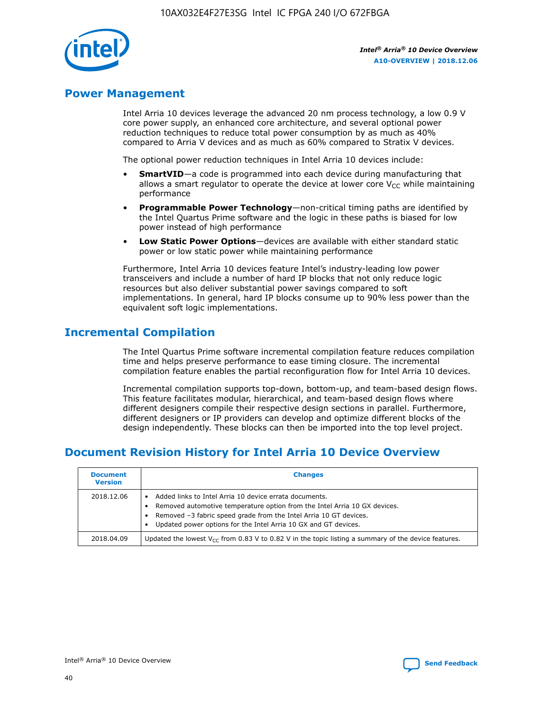

## **Power Management**

Intel Arria 10 devices leverage the advanced 20 nm process technology, a low 0.9 V core power supply, an enhanced core architecture, and several optional power reduction techniques to reduce total power consumption by as much as 40% compared to Arria V devices and as much as 60% compared to Stratix V devices.

The optional power reduction techniques in Intel Arria 10 devices include:

- **SmartVID**—a code is programmed into each device during manufacturing that allows a smart regulator to operate the device at lower core  $V_{CC}$  while maintaining performance
- **Programmable Power Technology**—non-critical timing paths are identified by the Intel Quartus Prime software and the logic in these paths is biased for low power instead of high performance
- **Low Static Power Options**—devices are available with either standard static power or low static power while maintaining performance

Furthermore, Intel Arria 10 devices feature Intel's industry-leading low power transceivers and include a number of hard IP blocks that not only reduce logic resources but also deliver substantial power savings compared to soft implementations. In general, hard IP blocks consume up to 90% less power than the equivalent soft logic implementations.

## **Incremental Compilation**

The Intel Quartus Prime software incremental compilation feature reduces compilation time and helps preserve performance to ease timing closure. The incremental compilation feature enables the partial reconfiguration flow for Intel Arria 10 devices.

Incremental compilation supports top-down, bottom-up, and team-based design flows. This feature facilitates modular, hierarchical, and team-based design flows where different designers compile their respective design sections in parallel. Furthermore, different designers or IP providers can develop and optimize different blocks of the design independently. These blocks can then be imported into the top level project.

## **Document Revision History for Intel Arria 10 Device Overview**

| <b>Document</b><br><b>Version</b> | <b>Changes</b>                                                                                                                                                                                                                                                              |
|-----------------------------------|-----------------------------------------------------------------------------------------------------------------------------------------------------------------------------------------------------------------------------------------------------------------------------|
| 2018.12.06                        | Added links to Intel Arria 10 device errata documents.<br>Removed automotive temperature option from the Intel Arria 10 GX devices.<br>Removed -3 fabric speed grade from the Intel Arria 10 GT devices.<br>Updated power options for the Intel Arria 10 GX and GT devices. |
| 2018.04.09                        | Updated the lowest $V_{CC}$ from 0.83 V to 0.82 V in the topic listing a summary of the device features.                                                                                                                                                                    |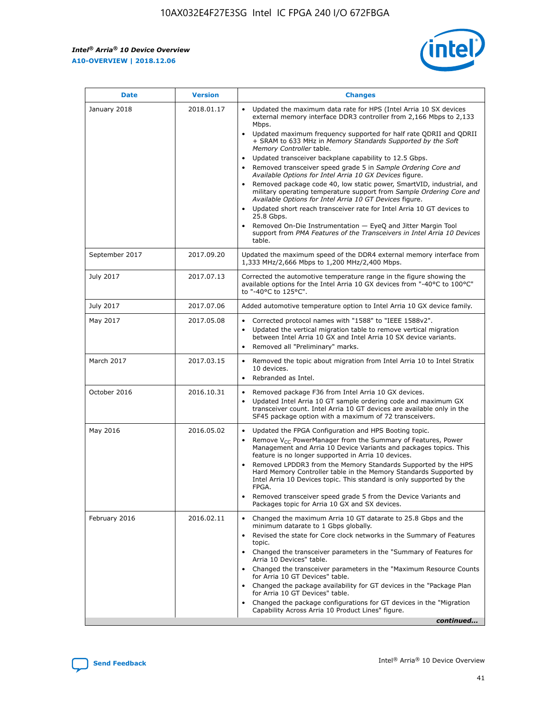

| <b>Date</b>    | <b>Version</b> | <b>Changes</b>                                                                                                                                                                                                                                                                                                                                                                                                                                                                                                                                                                                                                                                                                                                                                                                                                                                                                                                                                            |
|----------------|----------------|---------------------------------------------------------------------------------------------------------------------------------------------------------------------------------------------------------------------------------------------------------------------------------------------------------------------------------------------------------------------------------------------------------------------------------------------------------------------------------------------------------------------------------------------------------------------------------------------------------------------------------------------------------------------------------------------------------------------------------------------------------------------------------------------------------------------------------------------------------------------------------------------------------------------------------------------------------------------------|
| January 2018   | 2018.01.17     | Updated the maximum data rate for HPS (Intel Arria 10 SX devices<br>external memory interface DDR3 controller from 2,166 Mbps to 2,133<br>Mbps.<br>Updated maximum frequency supported for half rate QDRII and QDRII<br>+ SRAM to 633 MHz in Memory Standards Supported by the Soft<br>Memory Controller table.<br>Updated transceiver backplane capability to 12.5 Gbps.<br>$\bullet$<br>Removed transceiver speed grade 5 in Sample Ordering Core and<br>Available Options for Intel Arria 10 GX Devices figure.<br>Removed package code 40, low static power, SmartVID, industrial, and<br>military operating temperature support from Sample Ordering Core and<br>Available Options for Intel Arria 10 GT Devices figure.<br>Updated short reach transceiver rate for Intel Arria 10 GT devices to<br>25.8 Gbps.<br>Removed On-Die Instrumentation - EyeQ and Jitter Margin Tool<br>support from PMA Features of the Transceivers in Intel Arria 10 Devices<br>table. |
| September 2017 | 2017.09.20     | Updated the maximum speed of the DDR4 external memory interface from<br>1,333 MHz/2,666 Mbps to 1,200 MHz/2,400 Mbps.                                                                                                                                                                                                                                                                                                                                                                                                                                                                                                                                                                                                                                                                                                                                                                                                                                                     |
| July 2017      | 2017.07.13     | Corrected the automotive temperature range in the figure showing the<br>available options for the Intel Arria 10 GX devices from "-40°C to 100°C"<br>to "-40°C to 125°C".                                                                                                                                                                                                                                                                                                                                                                                                                                                                                                                                                                                                                                                                                                                                                                                                 |
| July 2017      | 2017.07.06     | Added automotive temperature option to Intel Arria 10 GX device family.                                                                                                                                                                                                                                                                                                                                                                                                                                                                                                                                                                                                                                                                                                                                                                                                                                                                                                   |
| May 2017       | 2017.05.08     | Corrected protocol names with "1588" to "IEEE 1588v2".<br>Updated the vertical migration table to remove vertical migration<br>between Intel Arria 10 GX and Intel Arria 10 SX device variants.<br>Removed all "Preliminary" marks.                                                                                                                                                                                                                                                                                                                                                                                                                                                                                                                                                                                                                                                                                                                                       |
| March 2017     | 2017.03.15     | Removed the topic about migration from Intel Arria 10 to Intel Stratix<br>10 devices.<br>Rebranded as Intel.<br>$\bullet$                                                                                                                                                                                                                                                                                                                                                                                                                                                                                                                                                                                                                                                                                                                                                                                                                                                 |
| October 2016   | 2016.10.31     | Removed package F36 from Intel Arria 10 GX devices.<br>Updated Intel Arria 10 GT sample ordering code and maximum GX<br>$\bullet$<br>transceiver count. Intel Arria 10 GT devices are available only in the<br>SF45 package option with a maximum of 72 transceivers.                                                                                                                                                                                                                                                                                                                                                                                                                                                                                                                                                                                                                                                                                                     |
| May 2016       | 2016.05.02     | Updated the FPGA Configuration and HPS Booting topic.<br>Remove V <sub>CC</sub> PowerManager from the Summary of Features, Power<br>Management and Arria 10 Device Variants and packages topics. This<br>feature is no longer supported in Arria 10 devices.<br>Removed LPDDR3 from the Memory Standards Supported by the HPS<br>Hard Memory Controller table in the Memory Standards Supported by<br>Intel Arria 10 Devices topic. This standard is only supported by the<br>FPGA.<br>Removed transceiver speed grade 5 from the Device Variants and<br>Packages topic for Arria 10 GX and SX devices.                                                                                                                                                                                                                                                                                                                                                                   |
| February 2016  | 2016.02.11     | Changed the maximum Arria 10 GT datarate to 25.8 Gbps and the<br>minimum datarate to 1 Gbps globally.<br>Revised the state for Core clock networks in the Summary of Features<br>$\bullet$<br>topic.<br>Changed the transceiver parameters in the "Summary of Features for<br>Arria 10 Devices" table.<br>• Changed the transceiver parameters in the "Maximum Resource Counts<br>for Arria 10 GT Devices" table.<br>• Changed the package availability for GT devices in the "Package Plan<br>for Arria 10 GT Devices" table.<br>Changed the package configurations for GT devices in the "Migration"<br>Capability Across Arria 10 Product Lines" figure.<br>continued                                                                                                                                                                                                                                                                                                  |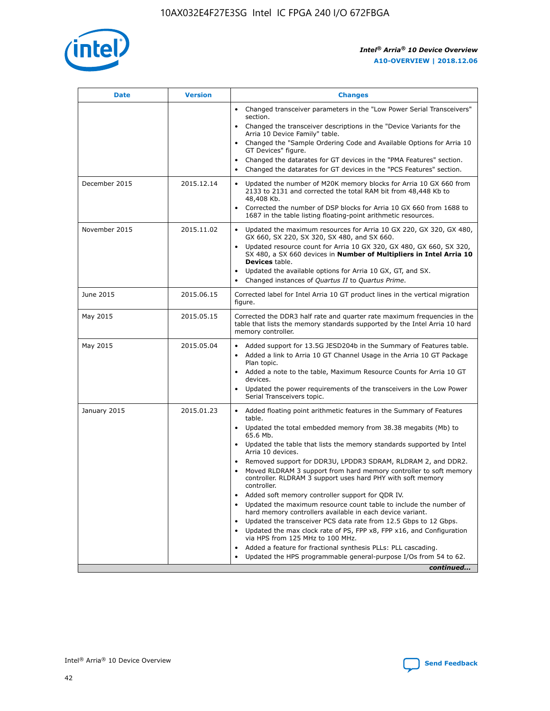

| <b>Date</b>   | <b>Version</b> | <b>Changes</b>                                                                                                                                                               |
|---------------|----------------|------------------------------------------------------------------------------------------------------------------------------------------------------------------------------|
|               |                | • Changed transceiver parameters in the "Low Power Serial Transceivers"<br>section.                                                                                          |
|               |                | • Changed the transceiver descriptions in the "Device Variants for the<br>Arria 10 Device Family" table.                                                                     |
|               |                | Changed the "Sample Ordering Code and Available Options for Arria 10<br>$\bullet$<br>GT Devices" figure.                                                                     |
|               |                | Changed the datarates for GT devices in the "PMA Features" section.                                                                                                          |
|               |                | Changed the datarates for GT devices in the "PCS Features" section.<br>$\bullet$                                                                                             |
| December 2015 | 2015.12.14     | Updated the number of M20K memory blocks for Arria 10 GX 660 from<br>2133 to 2131 and corrected the total RAM bit from 48,448 Kb to<br>48,408 Kb.                            |
|               |                | Corrected the number of DSP blocks for Arria 10 GX 660 from 1688 to<br>1687 in the table listing floating-point arithmetic resources.                                        |
| November 2015 | 2015.11.02     | Updated the maximum resources for Arria 10 GX 220, GX 320, GX 480,<br>$\bullet$<br>GX 660, SX 220, SX 320, SX 480, and SX 660.                                               |
|               |                | • Updated resource count for Arria 10 GX 320, GX 480, GX 660, SX 320,<br>SX 480, a SX 660 devices in Number of Multipliers in Intel Arria 10<br><b>Devices</b> table.        |
|               |                | Updated the available options for Arria 10 GX, GT, and SX.                                                                                                                   |
|               |                | Changed instances of Quartus II to Quartus Prime.<br>$\bullet$                                                                                                               |
| June 2015     | 2015.06.15     | Corrected label for Intel Arria 10 GT product lines in the vertical migration<br>figure.                                                                                     |
| May 2015      | 2015.05.15     | Corrected the DDR3 half rate and quarter rate maximum frequencies in the<br>table that lists the memory standards supported by the Intel Arria 10 hard<br>memory controller. |
| May 2015      | 2015.05.04     | • Added support for 13.5G JESD204b in the Summary of Features table.                                                                                                         |
|               |                | • Added a link to Arria 10 GT Channel Usage in the Arria 10 GT Package<br>Plan topic.                                                                                        |
|               |                | • Added a note to the table, Maximum Resource Counts for Arria 10 GT<br>devices.                                                                                             |
|               |                | • Updated the power requirements of the transceivers in the Low Power<br>Serial Transceivers topic.                                                                          |
| January 2015  | 2015.01.23     | • Added floating point arithmetic features in the Summary of Features<br>table.                                                                                              |
|               |                | • Updated the total embedded memory from 38.38 megabits (Mb) to<br>65.6 Mb.                                                                                                  |
|               |                | • Updated the table that lists the memory standards supported by Intel<br>Arria 10 devices.                                                                                  |
|               |                | Removed support for DDR3U, LPDDR3 SDRAM, RLDRAM 2, and DDR2.                                                                                                                 |
|               |                | Moved RLDRAM 3 support from hard memory controller to soft memory<br>controller. RLDRAM 3 support uses hard PHY with soft memory<br>controller.                              |
|               |                | Added soft memory controller support for QDR IV.<br>٠                                                                                                                        |
|               |                | Updated the maximum resource count table to include the number of<br>hard memory controllers available in each device variant.                                               |
|               |                | Updated the transceiver PCS data rate from 12.5 Gbps to 12 Gbps.<br>$\bullet$                                                                                                |
|               |                | Updated the max clock rate of PS, FPP x8, FPP x16, and Configuration<br>via HPS from 125 MHz to 100 MHz.                                                                     |
|               |                | Added a feature for fractional synthesis PLLs: PLL cascading.                                                                                                                |
|               |                | Updated the HPS programmable general-purpose I/Os from 54 to 62.<br>$\bullet$                                                                                                |
|               |                | continued                                                                                                                                                                    |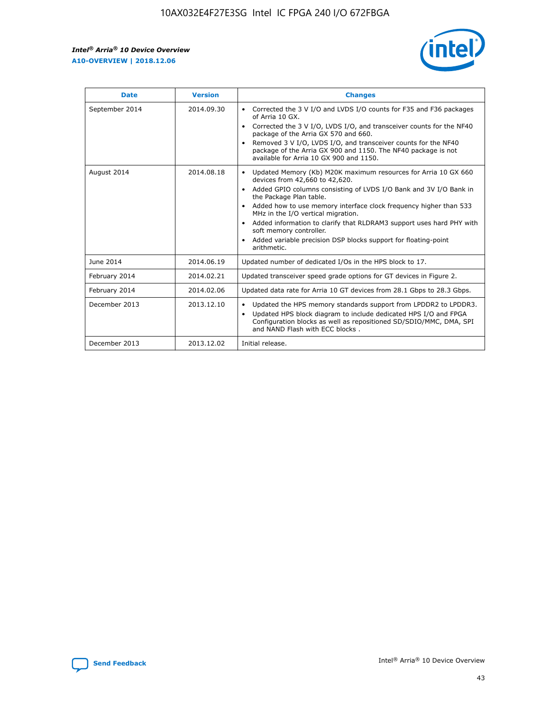

| <b>Date</b>    | <b>Version</b> | <b>Changes</b>                                                                                                                                                                                                                                                                                                                                                                                                                                                                                                                                                   |
|----------------|----------------|------------------------------------------------------------------------------------------------------------------------------------------------------------------------------------------------------------------------------------------------------------------------------------------------------------------------------------------------------------------------------------------------------------------------------------------------------------------------------------------------------------------------------------------------------------------|
| September 2014 | 2014.09.30     | Corrected the 3 V I/O and LVDS I/O counts for F35 and F36 packages<br>$\bullet$<br>of Arria 10 GX.<br>Corrected the 3 V I/O, LVDS I/O, and transceiver counts for the NF40<br>$\bullet$<br>package of the Arria GX 570 and 660.<br>Removed 3 V I/O, LVDS I/O, and transceiver counts for the NF40<br>$\bullet$<br>package of the Arria GX 900 and 1150. The NF40 package is not<br>available for Arria 10 GX 900 and 1150.                                                                                                                                       |
| August 2014    | 2014.08.18     | Updated Memory (Kb) M20K maximum resources for Arria 10 GX 660<br>$\bullet$<br>devices from 42,660 to 42,620.<br>Added GPIO columns consisting of LVDS I/O Bank and 3V I/O Bank in<br>$\bullet$<br>the Package Plan table.<br>Added how to use memory interface clock frequency higher than 533<br>$\bullet$<br>MHz in the I/O vertical migration.<br>Added information to clarify that RLDRAM3 support uses hard PHY with<br>$\bullet$<br>soft memory controller.<br>Added variable precision DSP blocks support for floating-point<br>$\bullet$<br>arithmetic. |
| June 2014      | 2014.06.19     | Updated number of dedicated I/Os in the HPS block to 17.                                                                                                                                                                                                                                                                                                                                                                                                                                                                                                         |
| February 2014  | 2014.02.21     | Updated transceiver speed grade options for GT devices in Figure 2.                                                                                                                                                                                                                                                                                                                                                                                                                                                                                              |
| February 2014  | 2014.02.06     | Updated data rate for Arria 10 GT devices from 28.1 Gbps to 28.3 Gbps.                                                                                                                                                                                                                                                                                                                                                                                                                                                                                           |
| December 2013  | 2013.12.10     | Updated the HPS memory standards support from LPDDR2 to LPDDR3.<br>٠<br>Updated HPS block diagram to include dedicated HPS I/O and FPGA<br>$\bullet$<br>Configuration blocks as well as repositioned SD/SDIO/MMC, DMA, SPI<br>and NAND Flash with ECC blocks.                                                                                                                                                                                                                                                                                                    |
| December 2013  | 2013.12.02     | Initial release.                                                                                                                                                                                                                                                                                                                                                                                                                                                                                                                                                 |